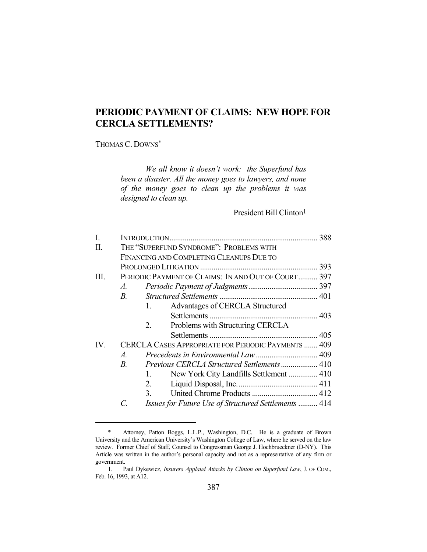# **PERIODIC PAYMENT OF CLAIMS: NEW HOPE FOR CERCLA SETTLEMENTS?**

# THOMAS C. DOWNS\*

*We all know it doesn't work: the Superfund has been a disaster. All the money goes to lawyers, and none of the money goes to clean up the problems it was designed to clean up.*

President Bill Clinton1

| I.                |                                         |                                                      |  |
|-------------------|-----------------------------------------|------------------------------------------------------|--|
| Π.                | THE "SUPERFUND SYNDROME": PROBLEMS WITH |                                                      |  |
|                   |                                         | FINANCING AND COMPLETING CLEANUPS DUE TO             |  |
|                   |                                         |                                                      |  |
| Ш.                |                                         | PERIODIC PAYMENT OF CLAIMS: IN AND OUT OF COURT 397  |  |
|                   | $A_{\cdot}$                             |                                                      |  |
|                   | $B_{\cdot}$                             |                                                      |  |
|                   |                                         | Advantages of CERCLA Structured<br>1.                |  |
|                   |                                         |                                                      |  |
|                   |                                         | Problems with Structuring CERCLA<br>2.               |  |
|                   |                                         |                                                      |  |
| $\mathbf{IV}_{-}$ |                                         | CERCLA CASES APPROPRIATE FOR PERIODIC PAYMENTS  409  |  |
|                   | $A_{\cdot}$                             |                                                      |  |
|                   | $B_{\cdot}$                             | <i>Previous CERCLA Structured Settlements</i> 410    |  |
|                   |                                         | New York City Landfills Settlement  410<br>1.        |  |
|                   |                                         | 2.                                                   |  |
|                   |                                         | 3.                                                   |  |
|                   |                                         | Issues for Future Use of Structured Settlements  414 |  |

 <sup>\*</sup> Attorney, Patton Boggs, L.L.P., Washington, D.C. He is a graduate of Brown University and the American University's Washington College of Law, where he served on the law review. Former Chief of Staff, Counsel to Congressman George J. Hochbrueckner (D-NY). This Article was written in the author's personal capacity and not as a representative of any firm or government.

 <sup>1.</sup> Paul Dykewicz, *Insurers Applaud Attacks by Clinton on Superfund Law*, J. OF COM., Feb. 16, 1993, at A12.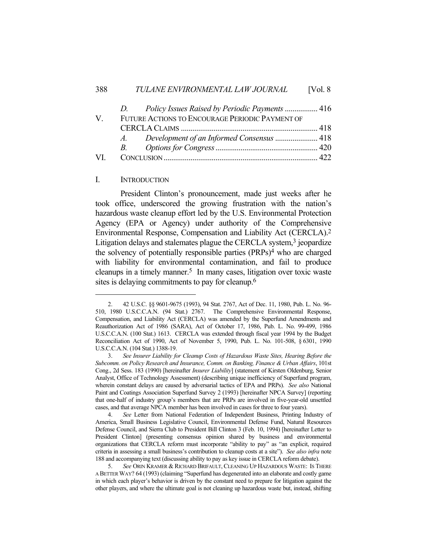|     | Policy Issues Raised by Periodic Payments  416<br>D. |  |
|-----|------------------------------------------------------|--|
| V   | FUTURE ACTIONS TO ENCOURAGE PERIODIC PAYMENT OF      |  |
|     |                                                      |  |
|     | A.                                                   |  |
|     |                                                      |  |
| VL. |                                                      |  |

### I. INTRODUCTION

 President Clinton's pronouncement, made just weeks after he took office, underscored the growing frustration with the nation's hazardous waste cleanup effort led by the U.S. Environmental Protection Agency (EPA or Agency) under authority of the Comprehensive Environmental Response, Compensation and Liability Act (CERCLA). 2 Litigation delays and stalemates plague the CERCLA system,<sup>3</sup> jeopardize the solvency of potentially responsible parties (PRPs)4 who are charged with liability for environmental contamination, and fail to produce cleanups in a timely manner. $5$  In many cases, litigation over toxic waste sites is delaying commitments to pay for cleanup.<sup>6</sup>

 <sup>2. 42</sup> U.S.C. §§ 9601-9675 (1993), 94 Stat. 2767, Act of Dec. 11, 1980, Pub. L. No. 96- 510, 1980 U.S.C.C.A.N. (94 Stat.) 2767. The Comprehensive Environmental Response, Compensation, and Liability Act (CERCLA) was amended by the Superfund Amendments and Reauthorization Act of 1986 (SARA), Act of October 17, 1986, Pub. L. No. 99-499, 1986 U.S.C.C.A.N. (100 Stat.) 1613. CERCLA was extended through fiscal year 1994 by the Budget Reconciliation Act of 1990, Act of November 5, 1990, Pub. L. No. 101-508, § 6301, 1990 U.S.C.C.A.N. (104 Stat.) 1388-19.

 <sup>3.</sup> *See Insurer Liability for Cleanup Costs of Hazardous Waste Sites, Hearing Before the Subcomm. on Policy Research and Insurance, Comm. on Banking, Finance & Urban Affairs*, 101st Cong., 2d Sess. 183 (1990) [hereinafter *Insurer Liability*] (statement of Kirsten Oldenburg, Senior Analyst, Office of Technology Assessment) (describing unique inefficiency of Superfund program, wherein constant delays are caused by adversarial tactics of EPA and PRPs). *See also* National Paint and Coatings Association Superfund Survey 2 (1993) [hereinafter NPCA Survey] (reporting that one-half of industry group's members that are PRPs are involved in five-year-old unsettled cases, and that average NPCA member has been involved in cases for three to four years).

 <sup>4.</sup> *See* Letter from National Federation of Independent Business, Printing Industry of America, Small Business Legislative Council, Environmental Defense Fund, Natural Resources Defense Council, and Sierra Club to President Bill Clinton 3 (Feb. 10, 1994) [hereinafter Letter to President Clinton] (presenting consensus opinion shared by business and environmental organizations that CERCLA reform must incorporate "ability to pay" as "an explicit, required criteria in assessing a small business's contribution to cleanup costs at a site"). *See also infra* note 188 and accompanying text (discussing ability to pay as key issue in CERCLA reform debate).

 <sup>5.</sup> *See* ORIN KRAMER & RICHARD BRIFAULT, CLEANING UP HAZARDOUS WASTE: IS THERE A BETTER WAY? 64 (1993) (claiming "Superfund has degenerated into an elaborate and costly game in which each player's behavior is driven by the constant need to prepare for litigation against the other players, and where the ultimate goal is not cleaning up hazardous waste but, instead, shifting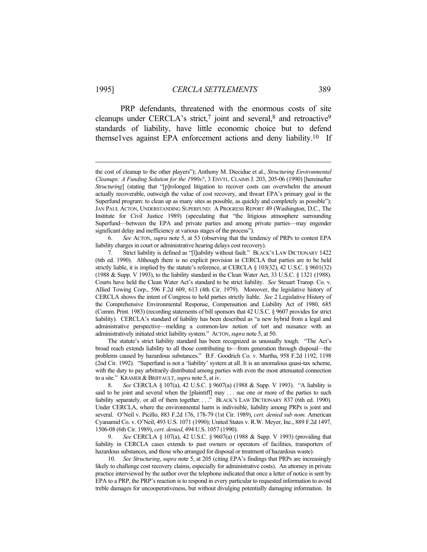PRP defendants, threatened with the enormous costs of site cleanups under CERCLA's strict,<sup>7</sup> joint and several,<sup>8</sup> and retroactive<sup>9</sup> standards of liability, have little economic choice but to defend themse1ves against EPA enforcement actions and deny liability.10 If

 6. *See* ACTON, *supra* note 5, at 53 (observing that the tendency of PRPs to contest EPA liability charges in court or administrative hearing delays cost recovery).

 The statute's strict liability standard has been recognized as unusually tough. "The Act's broad reach extends liability to all those contributing to—from generation through disposal—the problems caused by hazardous substances." B.F. Goodrich Co. v. Murtha, 958 F.2d 1192, 1198 (2nd Cir. 1992). "Superfund is not a 'liability' system at all. It is an anomalous quasi-tax scheme, with the duty to pay arbitrarily distributed among parties with even the most attenuated connection to a site." KRAMER & BRIFFAULT, *supra* note 5, at iv.

 8. *See* CERCLA § 107(a), 42 U.S.C. § 9607(a) (1988 & Supp. V 1993). "A liability is said to be joint and several when the [plaintiff] may ... sue one or more of the parties to such liability separately, or all of them together. . . . " BLACK's LAW DICTIONARY 837 (6th ed. 1990). Under CERCLA, where the environmental harm is indivisible, liability among PRPs is joint and several. O'Neil v. Picillo, 883 F.2d 176, 178-79 (1st Cir. 1989), *cert. denied sub nom.* American Cyanamid Co. v. O'Neil, 493 U.S. 1071 (1990); United States v. R.W. Meyer, Inc., 889 F.2d 1497, 1506-08 (6th Cir. 1989), *cert. denied*, 494 U.S. 1057 (1990).

 9. *See* CERCLA § 107(a), 42 U.S.C. § 9607(a) (1988 & Supp. V 1993) (providing that liability in CERCLA cases extends to past owners or operators of facilities, transporters of hazardous substances, and those who arranged for disposal or treatment of hazardous waste).

 10. *See Structuring*, *supra* note 5, at 205 (citing EPA's findings that PRPs are increasingly likely to challenge cost recovery claims, especially for administrative costs). An attorney in private practice interviewed by the author over the telephone indicated that once a letter of notice is sent by EPA to a PRP, the PRP's reaction is to respond in every particular to requested information to avoid treble damages for uncooperativeness, but without divulging potentially damaging information. In

the cost of cleanup to the other players"); Anthony M. Diecidue et al., *Structuring Environmental Cleanups: A Funding Solution for the 1990s?*, 3 ENVTL. CLAIMS J. 203, 205-06 (1990) [hereinafter *Structuring*] (stating that "[p]rolonged litigation to recover costs can overwhelm the amount actually recoverable, outweigh the value of cost recovery, and thwart EPA's primary goal in the Superfund program: to clean up as many sites as possible, as quickly and completely as possible"); JAN PAUL ACTON, UNDERSTANDING SUPERFUND: A PROGRESS REPORT 49 (Washington, D.C., The Institute for Civil Justice 1989) (speculating that "the litigious atmosphere surrounding Superfund—between the EPA and private parties and among private parties—may engender significant delay and inefficiency at various stages of the process").

 <sup>7.</sup> Strict liability is defined as "[l]iability without fault." BLACK'S LAW DICTIONARY 1422 (6th ed. 1990). Although there is no explicit provision in CERCLA that parties are to be held strictly liable, it is implied by the statute's reference, at CERCLA § 103(32), 42 U.S.C. § 9601(32) (1988 & Supp. V 1993), to the liability standard in the Clean Water Act, 33 U.S.C. § 1321 (1988). Courts have held the Clean Water Act's standard to be strict liability. *See* Steuart Transp. Co. v. Allied Towing Corp., 596 F.2d 609, 613 (4th Cir. 1979). Moreover, the legislative history of CERCLA shows the intent of Congress to hold parties strictly liable. *See* 2 Legislative History of the Comprehensive Environmental Response, Compensation and Liability Act of 1980, 685 (Comm. Print. 1983) (recording statements of bill sponsors that 42 U.S.C. § 9607 provides for strict liability). CERCLA's standard of liability has been described as "a new hybrid from a legal and administrative perspective—melding a common-law notion of tort and nuisance with an administratively initiated strict liability system." ACTON, *supra* note 5, at 50.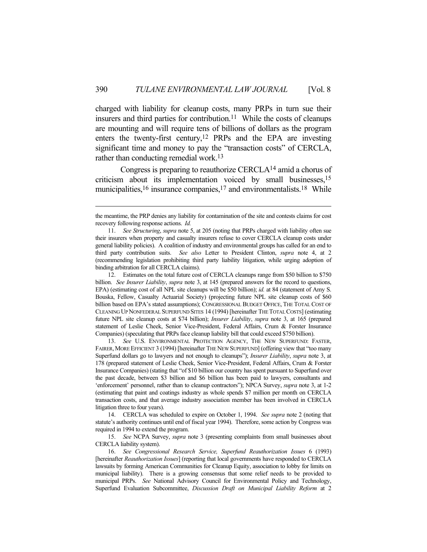charged with liability for cleanup costs, many PRPs in turn sue their insurers and third parties for contribution.11 While the costs of cleanups are mounting and will require tens of billions of dollars as the program enters the twenty-first century,12 PRPs and the EPA are investing significant time and money to pay the "transaction costs" of CERCLA, rather than conducting remedial work.13

 Congress is preparing to reauthorize CERCLA14 amid a chorus of criticism about its implementation voiced by small businesses,15 municipalities,  $16$  insurance companies,  $17$  and environmentalists.  $18$  While

 13. *See* U.S. ENVIRONMENTAL PROTECTION AGENCY, THE NEW SUPERFUND: FASTER, FAIRER, MORE EFFICIENT 3 (1994) [hereinafter THE NEW SUPERFUND] (offering view that "too many Superfund dollars go to lawyers and not enough to cleanups"); *Insurer Liability*, *supra* note 3, at 178 (prepared statement of Leslie Cheek, Senior Vice-President, Federal Affairs, Crum & Forster Insurance Companies) (stating that "of \$10 billion our country has spent pursuant to Superfund over the past decade, between \$3 billion and \$6 billion has been paid to lawyers, consultants and 'enforcement' personnel, rather than to cleanup contractors"); NPCA Survey, *supra* note 3, at 1-2 (estimating that paint and coatings industry as whole spends \$7 million per month on CERCLA transaction costs, and that average industry association member has been involved in CERCLA litigation three to four years).

 14. CERCLA was scheduled to expire on October 1, 1994. *See supra* note 2 (noting that statute's authority continues until end of fiscal year 1994). Therefore, some action by Congress was required in 1994 to extend the program.

 15. *See* NCPA Survey, *supra* note 3 (presenting complaints from small businesses about CERCLA liability system).

 16. *See Congressional Research Service, Superfund Reauthorization Issues* 6 (1993) [hereinafter *Reauthorization Issues*] (reporting that local governments have responded to CERCLA lawsuits by forming American Communities for Cleanup Equity, association to lobby for limits on municipal liability). There is a growing consensus that some relief needs to be provided to municipal PRPs. *See* National Advisory Council for Environmental Policy and Technology, Superfund Evaluation Subcommittee, *Discussion Draft on Municipal Liability Reform* at 2

the meantime, the PRP denies any liability for contamination of the site and contests claims for cost recovery following response actions. *Id.*

 <sup>11.</sup> *See Structuring*, *supra* note 5, at 205 (noting that PRPs charged with liability often sue their insurers when property and casualty insurers refuse to cover CERCLA cleanup costs under general liability policies). A coalition of industry and environmental groups has called for an end to third party contribution suits. *See also* Letter to President Clinton, *supra* note 4, at 2 (recommending legislation prohibiting third party liability litigation, while urging adoption of binding arbitration for all CERCLA claims).

 <sup>12.</sup> Estimates on the total future cost of CERCLA cleanups range from \$50 billion to \$750 billion. *See Insurer Liability*, *supra* note 3, at 145 (prepared answers for the record to questions, EPA) (estimating cost of all NPL site cleanups will be \$50 billion); *id.* at 84 (statement of Amy S. Bouska, Fellow, Casualty Actuarial Society) (projecting future NPL site cleanup costs of \$60 billion based on EPA's stated assumptions); CONGRESSIONAL BUDGET OFFICE, THE TOTAL COST OF CLEANING UP NONFEDERAL SUPERFUND SITES 14 (1994) [hereinafter THE TOTAL COSTS] (estimating future NPL site cleanup costs at \$74 billion); *Insurer Liability*, *supra* note 3, at 165 (prepared statement of Leslie Cheek, Senior Vice-President, Federal Affairs, Crum & Forster Insurance Companies) (speculating that PRPs face cleanup liability bill that could exceed \$750 billion).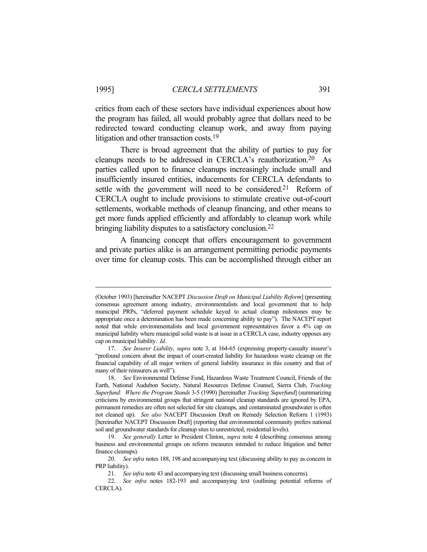critics from each of these sectors have individual experiences about how the program has failed, all would probably agree that dollars need to be redirected toward conducting cleanup work, and away from paying litigation and other transaction costs.19

 There is broad agreement that the ability of parties to pay for cleanups needs to be addressed in CERCLA's reauthorization.20 As parties called upon to finance cleanups increasingly include small and insufficiently insured entities, inducements for CERCLA defendants to settle with the government will need to be considered.<sup>21</sup> Reform of CERCLA ought to include provisions to stimulate creative out-of-court settlements, workable methods of cleanup financing, and other means to get more funds applied efficiently and affordably to cleanup work while bringing liability disputes to a satisfactory conclusion.<sup>22</sup>

 A financing concept that offers encouragement to government and private parties alike is an arrangement permitting periodic payments over time for cleanup costs. This can be accomplished through either an

<sup>(</sup>October 1993) [hereinafter NACEPT *Discussion Draft on Municipal Liability Reform*] (presenting consensus agreement among industry, environmentalists and local government that to help municipal PRPs, "deferred payment schedule keyed to actual cleanup milestones may be appropriate once a determination has been made concerning ability to pay"). The NACEPT report noted that while environmentalists and local government representatives favor a 4% cap on municipal liability where municipal solid waste is at issue in a CERCLA case, industry opposes any cap on municipal liability. *Id.*

 <sup>17.</sup> *See Insurer Liability*, *supra* note 3, at 164-65 (expressing property-casualty insurer's "profound concern about the impact of court-created liability for hazardous waste cleanup on the financial capability of all major writers of general liability insurance in this country and that of many of their reinsurers as well").

 <sup>18.</sup> *See* Environmental Defense Fund, Hazardous Waste Treatment Council, Friends of the Earth, National Audubon Society, Natural Resources Defense Counsel, Sierra Club, *Tracking Superfund: Where the Program Stands* 3-5 (1990) [hereinafter *Tracking Superfund*] (summarizing criticisms by environmental groups that stringent national cleanup standards are ignored by EPA, permanent remedies are often not selected for site cleanups, and contaminated groundwater is often not cleaned up). *See also* NACEPT Discussion Draft on Remedy Selection Reform 1 (1993) [hereinafter NACEPT Discussion Draft] (reporting that environmental community prefers national soil and groundwater standards for cleanup sites to unrestricted, residential levels).

 <sup>19.</sup> *See generally* Letter to President Clinton, *supra* note 4 (describing consensus among business and environmental groups on reform measures intended to reduce litigation and better finance cleanups).

 <sup>20.</sup> *See infra* notes 188, 198 and accompanying text (discussing ability to pay as concern in PRP liability).

 <sup>21.</sup> *See infra* note 43 and accompanying text (discussing small business concerns).

 <sup>22.</sup> *See infra* notes 182-193 and accompanying text (outlining potential reforms of CERCLA).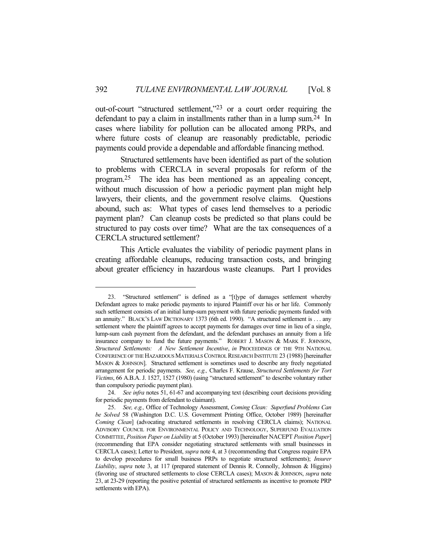out-of-court "structured settlement,"23 or a court order requiring the defendant to pay a claim in installments rather than in a lump sum.24 In cases where liability for pollution can be allocated among PRPs, and where future costs of cleanup are reasonably predictable, periodic payments could provide a dependable and affordable financing method.

 Structured settlements have been identified as part of the solution to problems with CERCLA in several proposals for reform of the program.25 The idea has been mentioned as an appealing concept, without much discussion of how a periodic payment plan might help lawyers, their clients, and the government resolve claims. Questions abound, such as: What types of cases lend themselves to a periodic payment plan? Can cleanup costs be predicted so that plans could be structured to pay costs over time? What are the tax consequences of a CERCLA structured settlement?

 This Article evaluates the viability of periodic payment plans in creating affordable cleanups, reducing transaction costs, and bringing about greater efficiency in hazardous waste cleanups. Part I provides

 <sup>23. &</sup>quot;Structured settlement" is defined as a "[t]ype of damages settlement whereby Defendant agrees to make periodic payments to injured Plaintiff over his or her life. Commonly such settlement consists of an initial lump-sum payment with future periodic payments funded with an annuity." BLACK's LAW DICTIONARY 1373 (6th ed. 1990). "A structured settlement is . . . any settlement where the plaintiff agrees to accept payments for damages over time in lieu of a single, lump-sum cash payment from the defendant, and the defendant purchases an annuity from a life insurance company to fund the future payments." ROBERT J. MASON & MARK F. JOHNSON, *Structured Settlements: A New Settlement Incentive*, *in* PROCEEDINGS OF THE 9TH NATIONAL CONFERENCE OF THE HAZARDOUS MATERIALS CONTROL RESEARCH INSTITUTE 23 (1988) [hereinafter MASON & JOHNSON]. Structured settlement is sometimes used to describe any freely negotiated arrangement for periodic payments. *See, e.g.,* Charles F. Krause, *Structured Settlements for Tort Victims*, 66 A.B.A. J. 1527, 1527 (1980) (using "structured settlement" to describe voluntary rather than compulsory periodic payment plan).

 <sup>24.</sup> *See infra* notes 51, 61-67 and accompanying text (describing court decisions providing for periodic payments from defendant to claimant).

 <sup>25.</sup> *See, e.g.,* Office of Technology Assessment, *Coming Clean: Superfund Problems Can be Solved* 58 (Washington D.C. U.S. Government Printing Office, October 1989) [hereinafter *Coming Clean*] (advocating structured settlements in resolving CERCLA claims); NATIONAL ADVISORY COUNCIL FOR ENVIRONMENTAL POLICY AND TECHNOLOGY, SUPERFUND EVALUATION COMMITTEE, *Position Paper on Liability* at 5 (October 1993) [hereinafter NACEPT *Position Paper*] (recommending that EPA consider negotiating structured settlements with small businesses in CERCLA cases); Letter to President, *supra* note 4, at 3 (recommending that Congress require EPA to develop procedures for small business PRPs to negotiate structured settlements); *Insurer Liability*, *supra* note 3, at 117 (prepared statement of Dennis R. Connolly, Johnson & Higgins) (favoring use of structured settlements to close CERCLA cases); MASON & JOHNSON, *supra* note 23, at 23-29 (reporting the positive potential of structured settlements as incentive to promote PRP settlements with EPA).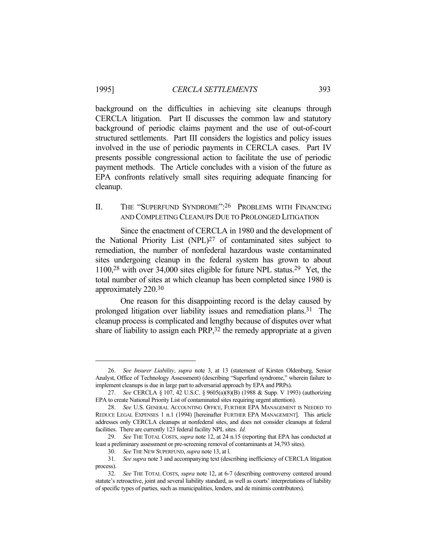background on the difficulties in achieving site cleanups through CERCLA litigation. Part II discusses the common law and statutory background of periodic claims payment and the use of out-of-court structured settlements. Part III considers the logistics and policy issues involved in the use of periodic payments in CERCLA cases. Part IV presents possible congressional action to facilitate the use of periodic payment methods. The Article concludes with a vision of the future as EPA confronts relatively small sites requiring adequate financing for cleanup.

# II. THE "SUPERFUND SYNDROME": 26 PROBLEMS WITH FINANCING AND COMPLETING CLEANUPS DUE TO PROLONGED LITIGATION

 Since the enactment of CERCLA in 1980 and the development of the National Priority List (NPL)27 of contaminated sites subject to remediation, the number of nonfederal hazardous waste contaminated sites undergoing cleanup in the federal system has grown to about 1100,28 with over 34,000 sites eligible for future NPL status.29 Yet, the total number of sites at which cleanup has been completed since 1980 is approximately 220.30

 One reason for this disappointing record is the delay caused by prolonged litigation over liability issues and remediation plans.31 The cleanup process is complicated and lengthy because of disputes over what share of liability to assign each PRP,<sup>32</sup> the remedy appropriate at a given

 <sup>26.</sup> *See Insurer Liability*, *supra* note 3, at 13 (statement of Kirsten Oldenburg, Senior Analyst, Office of Technology Assessment) (describing "Superfund syndrome," wherein failure to implement cleanups is due in large part to adversarial approach by EPA and PRPs).

 <sup>27.</sup> *See* CERCLA § 107, 42 U.S.C. § 9605(a)(8)(B) (1988 & Supp. V 1993) (authorizing EPA to create National Priority List of contaminated sites requiring urgent attention).

 <sup>28.</sup> *See* U.S. GENERAL ACCOUNTING OFFICE, FURTHER EPA MANAGEMENT IS NEEDED TO REDUCE LEGAL EXPENSES 1 n.1 (1994) [hereinafter FURTHER EPA MANAGEMENT]. This article addresses only CERCLA cleanups at nonfederal sites, and does not consider cleanups at federal facilities. There are currently 123 federal facility NPL sites. *Id.*

 <sup>29.</sup> *See* THE TOTAL COSTS, *supra* note 12, at 24 n.15 (reporting that EPA has conducted at least a preliminary assessment or pre-screening removal of contaminants at 34,793 sites).

 <sup>30.</sup> *See* THE NEW SUPERFUND, *supra* note 13, at l.

 <sup>31.</sup> *See supra* note 3 and accompanying text (describing inefficiency of CERCLA litigation process).

 <sup>32.</sup> *See* THE TOTAL COSTS, *supra* note 12, at 6-7 (describing controversy centered around statute's retroactive, joint and several liability standard, as well as courts' interpretations of liability of specific types of parties, such as municipalities, lenders, and de minimis contributors).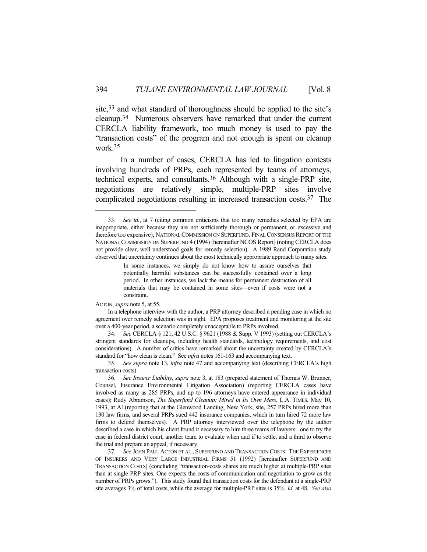site,<sup>33</sup> and what standard of thoroughness should be applied to the site's cleanup.34 Numerous observers have remarked that under the current CERCLA liability framework, too much money is used to pay the "transaction costs" of the program and not enough is spent on cleanup work.35

 In a number of cases, CERCLA has led to litigation contests involving hundreds of PRPs, each represented by teams of attorneys, technical experts, and consultants.36 Although with a single-PRP site, negotiations are relatively simple, multiple-PRP sites involve complicated negotiations resulting in increased transaction costs.37 The

ACTON, *supra* note 5, at 55.

 <sup>33.</sup> *See id.*, at 7 (citing common criticisms that too many remedies selected by EPA are inappropriate, either because they are not sufficiently thorough or permanent, or excessive and therefore too expensive); NATIONAL COMMISSION ON SUPERFUND, FINAL CONSENSUS REPORT OF THE NATIONAL COMMISSION ON SUPERFUND 4 (1994) [hereinafter NCOS Report] (noting CERCLA does not provide clear, well understood goals for remedy selection). A 1989 Rand Corporation study observed that uncertainty continues about the most technically appropriate approach to many sites.

In some instances, we simply do not know how to assure ourselves that potentially harmful substances can be successfully contained over a long period. In other instances, we lack the means for permanent destruction of all materials that may be contained in some sites—even if costs were not a constraint.

In a telephone interview with the author, a PRP attorney described a pending case in which no agreement over remedy selection was in sight. EPA proposes treatment and monitoring at the site over a 400-year period, a scenario completely unacceptable to PRPs involved.

 <sup>34.</sup> *See* CERCLA § 121, 42 U.S.C. § 9621 (1988 & Supp. V 1993) (setting out CERCLA's stringent standards for cleanups, including health standards, technology requirements, and cost considerations). A number of critics have remarked about the uncertainty created by CERCLA's standard for "how clean is clean." See *infra* notes 161-163 and accompanying text.

 <sup>35.</sup> *See supra* note 13, *infra* note 47 and accompanying text (describing CERCLA's high transaction costs).

 <sup>36.</sup> *See Insurer Liability*, *supra* note 3, at 183 (prepared statement of Thomas W. Brunner, Counsel, Insurance Environmental Litigation Association) (reporting CERCLA cases have involved as many as 285 PRPs, and up to 196 attorneys have entered appearance in individual cases); Rudy Abramson, *The Superfund Cleanup: Mired in Its Own Mess*, L.A. TIMES, May 10, 1993, at Al (reporting that at the Glenwood Landing, New York, site, 257 PRPs hired more than 130 law firms, and several PRPs sued 442 insurance companies, which in turn hired 72 more law firms to defend themselves). A PRP attorney interviewed over the telephone by the author described a case in which his client found it necessary to hire three teams of lawyers: one to try the case in federal district court, another team to evaluate when and if to settle, and a third to observe the trial and prepare an appeal, if necessary.

 <sup>37.</sup> *See* JOHN PAUL ACTON ET AL., SUPERFUND AND TRANSACTION COSTS: THE EXPERIENCES OF INSURERS AND VERY LARGE INDUSTRIAL FIRMS 51 (1992) [hereinafter SUPERFUND AND TRANSACTION COSTS] (concluding "transaction-costs shares are much higher at multiple-PRP sites than at single PRP sites. One expects the costs of communication and negotiation to grow as the number of PRPs grows."). This study found that transaction costs for the defendant at a single-PRP site averages 3% of total costs, while the average for multiple-PRP sites is 35%. *Id.* at 48. *See also*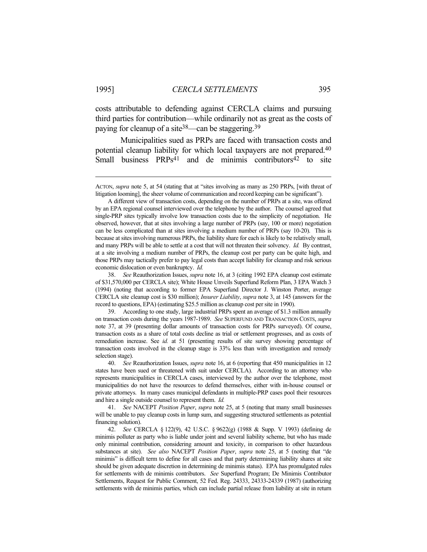costs attributable to defending against CERCLA claims and pursuing third parties for contribution—while ordinarily not as great as the costs of paying for cleanup of a site<sup>38</sup>—can be staggering.<sup>39</sup>

 Municipalities sued as PRPs are faced with transaction costs and potential cleanup liability for which local taxpayers are not prepared.40 Small business  $PRPs<sup>41</sup>$  and de minimis contributors<sup>42</sup> to site

 39. According to one study, large industrial PRPs spent an average of \$1.3 million annually on transaction costs during the years 1987-1989. *See* SUPERFUND AND TRANSACTION COSTS, *supra* note 37, at 39 (presenting dollar amounts of transaction costs for PRPs surveyed). Of course, transaction costs as a share of total costs decline as trial or settlement progresses, and as costs of remediation increase. See *id.* at 51 (presenting results of site survey showing percentage of transaction costs involved in the cleanup stage is 33% less than with investigation and remedy selection stage).

 40. *See* Reauthorization Issues, *supra* note 16, at 6 (reporting that 450 municipalities in 12 states have been sued or threatened with suit under CERCLA). According to an attorney who represents municipalities in CERCLA cases, interviewed by the author over the telephone, most municipalities do not have the resources to defend themselves, either with in-house counsel or private attorneys. In many cases municipal defendants in multiple-PRP cases pool their resources and hire a single outside counsel to represent them. *Id.*

 41. *See* NACEPT *Position Paper*, *supra* note 25, at 5 (noting that many small businesses will be unable to pay cleanup costs in lump sum, and suggesting structured settlements as potential financing solution).

 42. *See* CERCLA § 122(9), 42 U.S.C. § 9622(g) (1988 & Supp. V 1993) (defining de minimis polluter as party who is liable under joint and several liability scheme, but who has made only minimal contribution, considering amount and toxicity, in comparison to other hazardous substances at site). *See also* NACEPT *Position Paper*, *supra* note 25, at 5 (noting that "de minimis" is difficult term to define for all cases and that party determining liability shares at site should be given adequate discretion in determining de minimis status). EPA has promulgated rules for settlements with de minimis contributors. *See* Superfund Program; De Minimis Contributor Settlements, Request for Public Comment, 52 Fed. Reg. 24333, 24333-24339 (1987) (authorizing settlements with de minimis parties, which can include partial release from liability at site in return

ACTON, *supra* note 5, at 54 (stating that at "sites involving as many as 250 PRPs, [with threat of litigation looming], the sheer volume of communication and record keeping can be significant").

A different view of transaction costs, depending on the number of PRPs at a site, was offered by an EPA regional counsel interviewed over the telephone by the author. The counsel agreed that single-PRP sites typically involve low transaction costs due to the simplicity of negotiation. He observed, however, that at sites involving a large number of PRPs (say, 100 or more) negotiation can be less complicated than at sites involving a medium number of PRPs (say 10-20). This is because at sites involving numerous PRPs, the liability share for each is likely to be relatively small, and many PRPs will be able to settle at a cost that will not threaten their solvency. *Id.* By contrast, at a site involving a medium number of PRPs, the cleanup cost per party can be quite high, and those PRPs may tactically prefer to pay legal costs than accept liability for cleanup and risk serious economic dislocation or even bankruptcy. *Id.*

 <sup>38.</sup> *See* Reauthorization Issues, *supra* note 16, at 3 (citing 1992 EPA cleanup cost estimate of \$31,570,000 per CERCLA site); White House Unveils Superfund Reform Plan, 3 EPA Watch 3 (1994) (noting that according to former EPA Superfund Director J. Winston Porter, average CERCLA site cleanup cost is \$30 million); *Insurer Liability*, *supra* note 3, at 145 (answers for the record to questions, EPA) (estimating \$25.5 million as cleanup cost per site in 1990).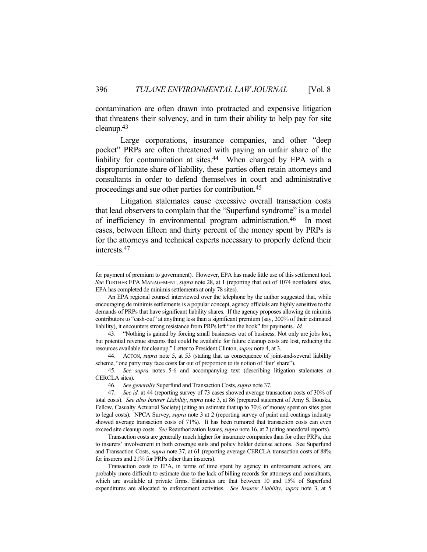contamination are often drawn into protracted and expensive litigation that threatens their solvency, and in turn their ability to help pay for site cleanup.43

Large corporations, insurance companies, and other "deep pocket" PRPs are often threatened with paying an unfair share of the liability for contamination at sites.<sup>44</sup> When charged by EPA with a disproportionate share of liability, these parties often retain attorneys and consultants in order to defend themselves in court and administrative proceedings and sue other parties for contribution.45

 Litigation stalemates cause excessive overall transaction costs that lead observers to complain that the "Superfund syndrome" is a model of inefficiency in environmental program administration.46 In most cases, between fifteen and thirty percent of the money spent by PRPs is for the attorneys and technical experts necessary to properly defend their interests.47

for payment of premium to government). However, EPA has made little use of this settlement tool. *See* FURTHER EPA MANAGEMENT, *supra* note 28, at 1 (reporting that out of 1074 nonfederal sites, EPA has completed de minimis settlements at only 78 sites).

An EPA regional counsel interviewed over the telephone by the author suggested that, while encouraging de minimis settlements is a popular concept, agency officials are highly sensitive to the demands of PRPs that have significant liability shares. If the agency proposes allowing de minimis contributors to "cash-out" at anything less than a significant premium (say, 200% of their estimated liability), it encounters strong resistance from PRPs left "on the hook" for payments. *Id.*

 <sup>43. &</sup>quot;Nothing is gained by forcing small businesses out of business. Not only are jobs lost, but potential revenue streams that could be available for future cleanup costs are lost, reducing the resources available for cleanup." Letter to President Clinton, *supra* note 4, at 3.

 <sup>44.</sup> ACTON, *supra* note 5, at 53 (stating that as consequence of joint-and-several liability scheme, "one party may face costs far out of proportion to its notion of 'fair' share").

 <sup>45.</sup> *See supra* notes 5-6 and accompanying text (describing litigation stalemates at CERCLA sites).

 <sup>46.</sup> *See generally* Superfund and Transaction Costs, *supra* note 37.

 <sup>47.</sup> *See id.* at 44 (reporting survey of 73 cases showed average transaction costs of 30% of total costs). *See also Insurer Liability*, *supra* note 3, at 86 (prepared statement of Amy S. Bouska, Fellow, Casualty Actuarial Society) (citing an estimate that up to 70% of money spent on sites goes to legal costs). NPCA Survey, *supra* note 3 at 2 (reporting survey of paint and coatings industry showed average transaction costs of 71%). It has been rumored that transaction costs can even exceed site cleanup costs. *See* Reauthorization Issues, *supra* note 16, at 2 (citing anecdotal reports).

Transaction costs are generally much higher for insurance companies than for other PRPs, due to insurers' involvement in both coverage suits and policy holder defense actions. See Superfund and Transaction Costs, *supra* note 37, at 61 (reporting average CERCLA transaction costs of 88% for insurers and 21% for PRPs other than insurers).

Transaction costs to EPA, in terms of time spent by agency in enforcement actions, are probably more difficult to estimate due to the lack of billing records for attorneys and consultants, which are available at private firms. Estimates are that between 10 and 15% of Superfund expenditures are allocated to enforcement activities. *See Insurer Liability*, *supra* note 3, at 5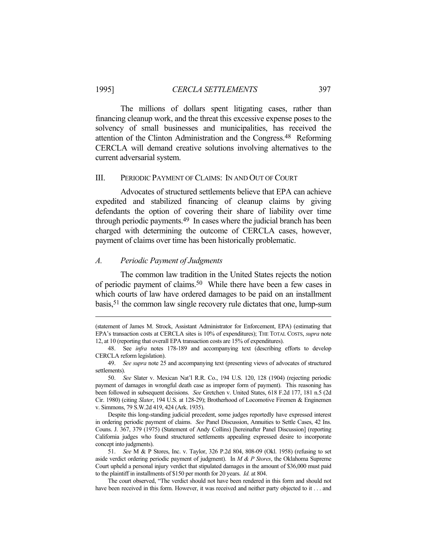The millions of dollars spent litigating cases, rather than financing cleanup work, and the threat this excessive expense poses to the solvency of small businesses and municipalities, has received the attention of the Clinton Administration and the Congress.48 Reforming CERCLA will demand creative solutions involving alternatives to the current adversarial system.

## III. PERIODIC PAYMENT OF CLAIMS: IN AND OUT OF COURT

 Advocates of structured settlements believe that EPA can achieve expedited and stabilized financing of cleanup claims by giving defendants the option of covering their share of liability over time through periodic payments.49 In cases where the judicial branch has been charged with determining the outcome of CERCLA cases, however, payment of claims over time has been historically problematic.

## *A. Periodic Payment of Judgments*

 The common law tradition in the United States rejects the notion of periodic payment of claims.50 While there have been a few cases in which courts of law have ordered damages to be paid on an installment basis,51 the common law single recovery rule dictates that one, lump-sum

<sup>(</sup>statement of James M. Strock, Assistant Administrator for Enforcement, EPA) (estimating that EPA's transaction costs at CERCLA sites is 10% of expenditures); THE TOTAL COSTS, *supra* note 12, at 10 (reporting that overall EPA transaction costs are 15% of expenditures).

 <sup>48.</sup> See *infra* notes 178-189 and accompanying text (describing efforts to develop CERCLA reform legislation).

 <sup>49.</sup> *See supra* note 25 and accompanying text (presenting views of advocates of structured settlements).

 <sup>50.</sup> *See* Slater v. Mexican Nat'l R.R. Co., 194 U.S. 120, 128 (1904) (rejecting periodic payment of damages in wrongful death case as improper form of payment). This reasoning has been followed in subsequent decisions. *See* Gretchen v. United States, 618 F.2d 177, 181 n.5 (2d Cir. 1980) (citing *Slater*, 194 U.S. at 128-29); Brotherhood of Locomotive Firemen & Enginemen v. Simmons, 79 S.W.2d 419, 424 (Ark. 1935).

Despite this long-standing judicial precedent, some judges reportedly have expressed interest in ordering periodic payment of claims. *See* Panel Discussion, Annuities to Settle Cases, 42 Ins. Couns. J. 367, 379 (1975) (Statement of Andy Collins) [hereinafter Panel Discussion] (reporting California judges who found structured settlements appealing expressed desire to incorporate concept into judgments).

 <sup>51.</sup> *See* M & P Stores, Inc. v. Taylor, 326 P.2d 804, 808-09 (Okl. 1958) (refusing to set aside verdict ordering periodic payment of judgment). In *M & P Stores*, the Oklahoma Supreme Court upheld a personal injury verdict that stipulated damages in the amount of \$36,000 must paid to the plaintiff in installments of \$150 per month for 20 years. *Id.* at 804.

The court observed, "The verdict should not have been rendered in this form and should not have been received in this form. However, it was received and neither party objected to it . . . and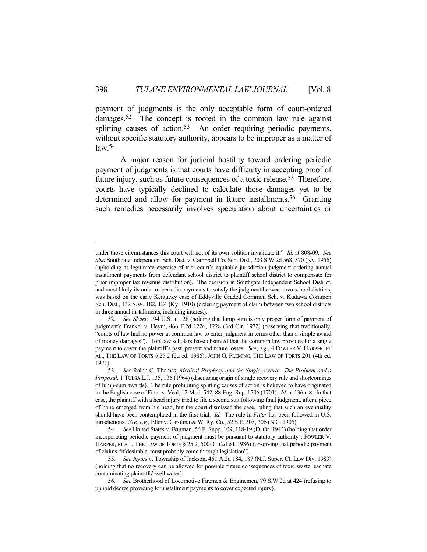payment of judgments is the only acceptable form of court-ordered damages.<sup>52</sup> The concept is rooted in the common law rule against splitting causes of action.<sup>53</sup> An order requiring periodic payments, without specific statutory authority, appears to be improper as a matter of  $law<sub>54</sub>$ 

 A major reason for judicial hostility toward ordering periodic payment of judgments is that courts have difficulty in accepting proof of future injury, such as future consequences of a toxic release.<sup>55</sup> Therefore, courts have typically declined to calculate those damages yet to be determined and allow for payment in future installments.<sup>56</sup> Granting such remedies necessarily involves speculation about uncertainties or

under those circumstances this court will not of its own volition invalidate it." *Id.* at 808-09. *See also* Southgate Independent Sch. Dist. v. Campbell Co. Sch. Dist., 203 S.W.2d 568, 570 (Ky. 1956) (upholding as legitimate exercise of trial court's equitable jurisdiction judgment ordering annual installment payments from defendant school district to plaintiff school district to compensate for prior improper tax revenue distribution). The decision in Southgate Independent School District, and most likely its order of periodic payments to satisfy the judgment between two school districts, was based on the early Kentucky case of Eddyville Graded Common Sch. v. Kuttawa Common Sch. Dist., 132 S.W. 182, 184 (Ky. 1910) (ordering payment of claim between two school districts in three annual installments, including interest).

 <sup>52.</sup> *See Slater*, 194 U.S. at 128 (holding that lump sum is only proper form of payment of judgment); Frankel v. Heym, 466 F.2d 1226, 1228 (3rd Cir. 1972) (observing that traditionally, "courts of law had no power at common law to enter judgment in terms other than a simple award of money damages"). Tort law scholars have observed that the common law provides for a single payment to cover the plaintiff's past, present and future losses. *See*, *e.g.*, 4 FOWLER V. HARPER, ET AL., THE LAW OF TORTS § 25.2 (2d ed. 1986); JOHN G. FLEMING, THE LAW OF TORTS 201 (4th ed. 1971).

 <sup>53.</sup> *See* Ralph C. Thomas, *Medical Prophesy and the Single Award: The Problem and a Proposal*, 1 TULSA L.J. 135, 136 (1964) (discussing origin of single recovery rule and shortcomings of lump-sum awards). The rule prohibiting splitting causes of action is believed to have originated in the English case of Fitter v. Veal, 12 Mod. 542, 88 Eng. Rep. 1506 (1701). *Id.* at 136 n.8. In that case, the plaintiff with a head injury tried to file a second suit following final judgment, after a piece of bone emerged from his head, but the court dismissed the case, ruling that such an eventuality should have been contemplated in the first trial. *Id.* The rule in *Fitter* has been followed in U.S. jurisdictions. *See, e.g.,* Eller v. Carolina & W. Ry. Co., 52 S.E. 305, 306 (N.C. 1905).

 <sup>54.</sup> *See* United States v. Bauman, 56 F. Supp. 109, 118-19 (D. Or. 1943) (holding that order incorporating periodic payment of judgment must be pursuant to statutory authority); FOWLER V. HARPER, ET AL., THE LAW OF TORTS § 25.2, 500-01 (2d ed. 1986) (observing that periodic payment of claims "if desirable, must probably come through legislation").

 <sup>55.</sup> *See* Ayres v. Township of Jackson, 461 A.2d 184, 187 (N.J. Super. Ct. Law Div. 1983) (holding that no recovery can be allowed for possible future consequences of toxic waste leachate contaminating plaintiffs' well water).

 <sup>56.</sup> *See* Brotherhood of Locomotive Firemen & Enginemen, 79 S.W.2d at 424 (refusing to uphold decree providing for installment payments to cover expected injury).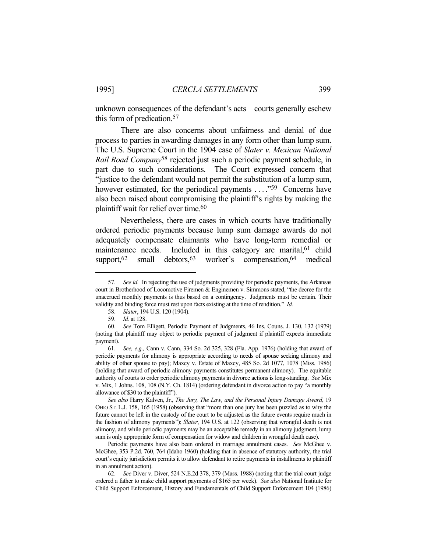unknown consequences of the defendant's acts—courts generally eschew this form of predication.57

 There are also concerns about unfairness and denial of due process to parties in awarding damages in any form other than lump sum. The U.S. Supreme Court in the 1904 case of *Slater v. Mexican National Rail Road Company*58 rejected just such a periodic payment schedule, in part due to such considerations. The Court expressed concern that "justice to the defendant would not permit the substitution of a lump sum, however estimated, for the periodical payments . . . . . . . . . . . Concerns have also been raised about compromising the plaintiff's rights by making the plaintiff wait for relief over time.60

 Nevertheless, there are cases in which courts have traditionally ordered periodic payments because lump sum damage awards do not adequately compensate claimants who have long-term remedial or maintenance needs. Included in this category are marital, <sup>61</sup> child support,  $62 \text{ small}$  debtors,  $63 \text{ worker's}$  compensation,  $64 \text{ medical}$ 

 <sup>57.</sup> *See id.* In rejecting the use of judgments providing for periodic payments, the Arkansas court in Brotherhood of Locomotive Firemen & Enginemen v. Simmons stated, "the decree for the unaccrued monthly payments is thus based on a contingency. Judgments must be certain. Their validity and binding force must rest upon facts existing at the time of rendition." *Id.*

 <sup>58.</sup> *Slater*, 194 U.S. 120 (1904).

 <sup>59.</sup> *Id.* at 128.

 <sup>60.</sup> *See* Tom Elligett, Periodic Payment of Judgments, 46 Ins. Couns. J. 130, 132 (1979) (noting that plaintiff may object to periodic payment of judgment if plaintiff expects immediate payment).

 <sup>61.</sup> *See, e.g.,* Cann v. Cann, 334 So. 2d 325, 328 (Fla. App. 1976) (holding that award of periodic payments for alimony is appropriate according to needs of spouse seeking alimony and ability of other spouse to pay); Maxcy v. Estate of Maxcy, 485 So. 2d 1077, 1078 (Miss. 1986) (holding that award of periodic alimony payments constitutes permanent alimony). The equitable authority of courts to order periodic alimony payments in divorce actions is long-standing. *See* Mix v. Mix, 1 Johns. 108, 108 (N.Y. Ch. 1814) (ordering defendant in divorce action to pay "a monthly allowance of \$30 to the plaintiff").

*See also* Harry Kalven, Jr., *The Jury, The Law, and the Personal Injury Damage Award*, 19 OHIO ST. L.J. 158, 165 (1958) (observing that "more than one jury has been puzzled as to why the future cannot be left in the custody of the court to be adjusted as the future events require much in the fashion of alimony payments"); *Slater*, 194 U.S. at 122 (observing that wrongful death is not alimony, and while periodic payments may be an acceptable remedy in an alimony judgment, lump sum is only appropriate form of compensation for widow and children in wrongful death case).

Periodic payments have also been ordered in marriage annulment cases. *See* McGhee v. McGhee, 353 P.2d. 760, 764 (Idaho 1960) (holding that in absence of statutory authority, the trial court's equity jurisdiction permits it to allow defendant to retire payments in installments to plaintiff in an annulment action).

 <sup>62.</sup> *See* Diver v. Diver, 524 N.E.2d 378, 379 (Mass. 1988) (noting that the trial court judge ordered a father to make child support payments of \$165 per week). *See also* National Institute for Child Support Enforcement, History and Fundamentals of Child Support Enforcement 104 (1986)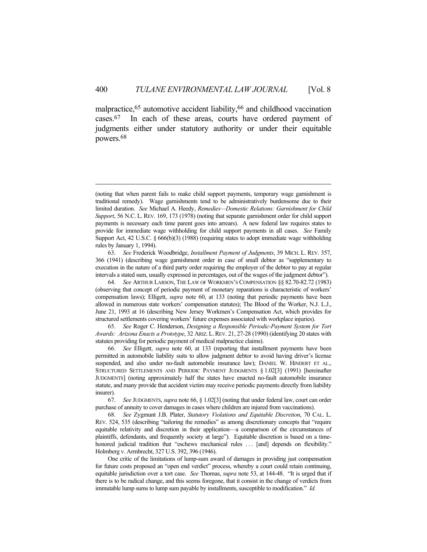malpractice,65 automotive accident liability,66 and childhood vaccination cases.67 In each of these areas, courts have ordered payment of judgments either under statutory authority or under their equitable powers.68

 63. *See* Frederick Woodbridge, *Installment Payment of Judgments*, 39 MICH. L. REV. 357, 366 (1941) (describing wage garnishment order in case of small debtor as "supplementary to execution in the nature of a third party order requiring the employer of the debtor to pay at regular intervals a stated sum, usually expressed in percentages, out of the wages of the judgment debtor").

 64. *See* ARTHUR LARSON, THE LAW OF WORKMEN'S COMPENSATION §§ 82.70-82.72 (1983) (observing that concept of periodic payment of monetary reparations is characteristic of workers' compensation laws); Elligett, *supra* note 60, at 133 (noting that periodic payments have been allowed in numerous state workers' compensation statutes); The Blood of the Worker, N.J. L.J., June 21, 1993 at 16 (describing New Jersey Workmen's Compensation Act, which provides for structured settlements covering workers' future expenses associated with workplace injuries).

 65. *See* Roger C. Henderson, *Designing a Responsible Periodic-Payment System for Tort Awards: Arizona Enacts a Prototype*, 32 ARIZ. L.REV. 21, 27-28 (1990) (identifying 20 states with statutes providing for periodic payment of medical malpractice claims).

 66. *See* Elligett, *supra* note 60, at 133 (reporting that installment payments have been permitted in automobile liability suits to allow judgment debtor to avoid having driver's license suspended, and also under no-fault automobile insurance law); DANIEL W. HINDERT ET AL., STRUCTURED SETTLEMENTS AND PERIODIC PAYMENT JUDGMENTS § 1.02[3] (1991) [hereinafter JUDGMENTS] (noting approximately half the states have enacted no-fault automobile insurance statute, and many provide that accident victim may receive periodic payments directly from liability insurer).

 67. *See* JUDGMENTS, *supra* note 66, § 1.02[3] (noting that under federal law, court can order purchase of annuity to cover damages in cases where children are injured from vaccinations).

 68. *See* Zygmunt J.B. Plater, *Statutory Violations and Equitable Discretion*, 70 CAL. L. REV. 524, 535 (describing "tailoring the remedies" as among discretionary concepts that "require equitable relativity and discretion in their application—a comparison of the circumstances of plaintiffs, defendants, and frequently society at large"). Equitable discretion is based on a timehonored judicial tradition that "eschews mechanical rules ... [and] depends on flexibility." Holmberg v. Armbrecht, 327 U.S. 392, 396 (1946).

 One critic of the limitations of lump-sum award of damages in providing just compensation for future costs proposed an "open end verdict" process, whereby a court could retain continuing, equitable jurisdiction over a tort case. *See* Thomas, *supra* note 53, at 144-48. "It is urged that if there is to be radical change, and this seems foregone, that it consist in the change of verdicts from immutable lump sums to lump sum payable by installments, susceptible to modification." *Id.*

<sup>(</sup>noting that when parent fails to make child support payments, temporary wage garnishment is traditional remedy). Wage garnishments tend to be administratively burdensome due to their limited duration. *See* Michael A. Heedy, *Remedies—Domestic Relations: Garnishment for Child Support*, 56 N.C. L. REV. 169, 173 (1978) (noting that separate garnishment order for child support payments is necessary each time parent goes into arrears). A new federal law requires states to provide for immediate wage withholding for child support payments in all cases. *See* Family Support Act, 42 U.S.C. § 666(b)(3) (1988) (requiring states to adopt immediate wage withholding rules by January 1, 1994).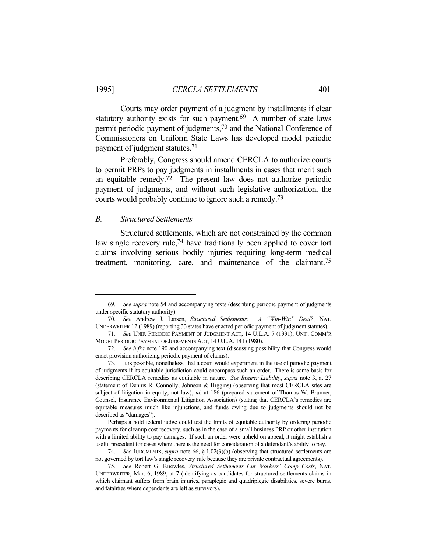Courts may order payment of a judgment by installments if clear statutory authority exists for such payment. $69$  A number of state laws permit periodic payment of judgments,70 and the National Conference of Commissioners on Uniform State Laws has developed model periodic payment of judgment statutes.71

 Preferably, Congress should amend CERCLA to authorize courts to permit PRPs to pay judgments in installments in cases that merit such an equitable remedy.72 The present law does not authorize periodic payment of judgments, and without such legislative authorization, the courts would probably continue to ignore such a remedy.73

#### *B. Structured Settlements*

 Structured settlements, which are not constrained by the common law single recovery rule,<sup>74</sup> have traditionally been applied to cover tort claims involving serious bodily injuries requiring long-term medical treatment, monitoring, care, and maintenance of the claimant.75

 <sup>69.</sup> *See supra* note 54 and accompanying texts (describing periodic payment of judgments under specific statutory authority).

 <sup>70.</sup> *See* Andrew J. Larsen, *Structured Settlements: A "Win-Win" Deal?*, NAT. UNDERWRITER 12 (1989) (reporting 33 states have enacted periodic payment of judgment statutes).

 <sup>71.</sup> *See* UNIF. PERIODIC PAYMENT OF JUDGMENT ACT, 14 U.L.A. 7 (1991); UNIF. COMM'R MODEL PERIODIC PAYMENT OF JUDGMENTS ACT, 14 U.L.A. 141 (1980).

 <sup>72.</sup> *See infra* note 190 and accompanying text (discussing possibility that Congress would enact provision authorizing periodic payment of claims).

 <sup>73.</sup> It is possible, nonetheless, that a court would experiment in the use of periodic payment of judgments if its equitable jurisdiction could encompass such an order. There is some basis for describing CERCLA remedies as equitable in nature. *See Insurer Liability*, *supra* note 3, at 27 (statement of Dennis R. Connolly, Johnson & Higgins) (observing that most CERCLA sites are subject of litigation in equity, not law); *id.* at 186 (prepared statement of Thomas W. Brunner, Counsel, Insurance Environmental Litigation Association) (stating that CERCLA's remedies are equitable measures much like injunctions, and funds owing due to judgments should not be described as "damages").

Perhaps a bold federal judge could test the limits of equitable authority by ordering periodic payments for cleanup cost recovery, such as in the case of a small business PRP or other institution with a limited ability to pay damages. If such an order were upheld on appeal, it might establish a useful precedent for cases where there is the need for consideration of a defendant's ability to pay.

 <sup>74.</sup> *See* JUDGMENTS, *supra* note 66, § 1.02(3)(b) (observing that structured settlements are not governed by tort law's single recovery rule because they are private contractual agreements).

 <sup>75.</sup> *See* Robert G. Knowles, *Structured Settlements Cut Workers' Comp Costs*, NAT. UNDERWRITER, Mar. 6, 1989, at 7 (identifying as candidates for structured settlements claims in which claimant suffers from brain injuries, paraplegic and quadriplegic disabilities, severe burns, and fatalities where dependents are left as survivors).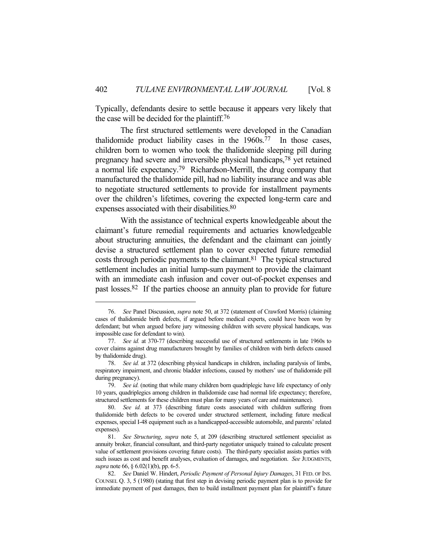Typically, defendants desire to settle because it appears very likely that the case will be decided for the plaintiff.76

 The first structured settlements were developed in the Canadian thalidomide product liability cases in the 1960s.77 In those cases, children born to women who took the thalidomide sleeping pill during pregnancy had severe and irreversible physical handicaps,78 yet retained a normal life expectancy.79 Richardson-Merrill, the drug company that manufactured the thalidomide pill, had no liability insurance and was able to negotiate structured settlements to provide for installment payments over the children's lifetimes, covering the expected long-term care and expenses associated with their disabilities.<sup>80</sup>

 With the assistance of technical experts knowledgeable about the claimant's future remedial requirements and actuaries knowledgeable about structuring annuities, the defendant and the claimant can jointly devise a structured settlement plan to cover expected future remedial costs through periodic payments to the claimant. $81$  The typical structured settlement includes an initial lump-sum payment to provide the claimant with an immediate cash infusion and cover out-of-pocket expenses and past losses.82 If the parties choose an annuity plan to provide for future

 <sup>76.</sup> *See* Panel Discussion, *supra* note 50, at 372 (statement of Crawford Morris) (claiming cases of thalidomide birth defects, if argued before medical experts, could have been won by defendant; but when argued before jury witnessing children with severe physical handicaps, was impossible case for defendant to win).

 <sup>77.</sup> *See id.* at 370-77 (describing successful use of structured settlements in late 1960s to cover claims against drug manufacturers brought by families of children with birth defects caused by thalidomide drug).

 <sup>78.</sup> *See id.* at 372 (describing physical handicaps in children, including paralysis of limbs, respiratory impairment, and chronic bladder infections, caused by mothers' use of thalidomide pill during pregnancy).

 <sup>79.</sup> *See id.* (noting that while many children born quadriplegic have life expectancy of only 10 years, quadriplegics among children in thalidomide case had normal life expectancy; therefore, structured settlements for these children must plan for many years of care and maintenance).

 <sup>80.</sup> *See id.* at 373 (describing future costs associated with children suffering from thalidomide birth defects to be covered under structured settlement, including future medical expenses, special I-48 equipment such as a handicapped-accessible automobile, and parents' related expenses).

 <sup>81.</sup> *See Structuring*, *supra* note 5, at 209 (describing structured settlement specialist as annuity broker, financial consultant, and third-party negotiator uniquely trained to calculate present value of settlement provisions covering future costs). The third-party specialist assists parties with such issues as cost and benefit analyses, evaluation of damages, and negotiation. *See* JUDGMENTS, *supra* note 66, § 6.02(1)(b), pp. 6-5.

 <sup>82.</sup> *See* Daniel W. Hindert, *Periodic Payment of Personal Injury Damages*, 31 FED. OF INS. COUNSEL Q. 3, 5 (1980) (stating that first step in devising periodic payment plan is to provide for immediate payment of past damages, then to build installment payment plan for plaintiff's future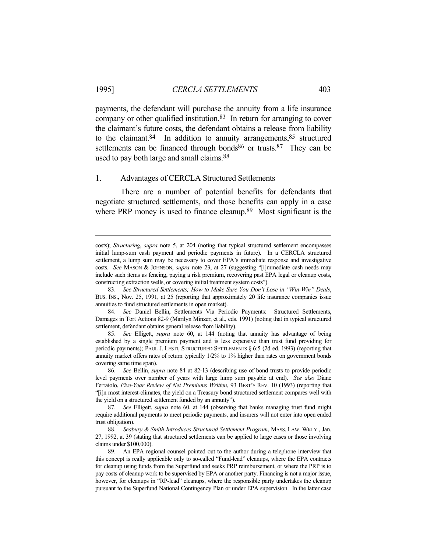payments, the defendant will purchase the annuity from a life insurance company or other qualified institution.83 In return for arranging to cover the claimant's future costs, the defendant obtains a release from liability to the claimant. $84$  In addition to annuity arrangements,  $85$  structured settlements can be financed through bonds<sup>86</sup> or trusts.<sup>87</sup> They can be used to pay both large and small claims.88

#### 1. Advantages of CERCLA Structured Settlements

 There are a number of potential benefits for defendants that negotiate structured settlements, and those benefits can apply in a case where PRP money is used to finance cleanup.<sup>89</sup> Most significant is the

costs); *Structuring*, *supra* note 5, at 204 (noting that typical structured settlement encompasses initial lump-sum cash payment and periodic payments in future). In a CERCLA structured settlement, a lump sum may be necessary to cover EPA's immediate response and investigative costs. *See* MASON & JOHNSON, *supra* note 23, at 27 (suggesting "[i]mmediate cash needs may include such items as fencing, paying a risk premium, recovering past EPA legal or cleanup costs, constructing extraction wells, or covering initial treatment system costs").

 <sup>83.</sup> *See Structured Settlements; How to Make Sure You Don't Lose in "Win-Win" Deals*, BUS. INS., Nov. 25, 1991, at 25 (reporting that approximately 20 life insurance companies issue annuities to fund structured settlements in open market).

 <sup>84.</sup> *See* Daniel Bellin, Settlements Via Periodic Payments: Structured Settlements, Damages in Tort Actions 82-9 (Marilyn Minzer, et al., eds. 1991) (noting that in typical structured settlement, defendant obtains general release from liability).

 <sup>85.</sup> *See* Elligett, *supra* note 60, at 144 (noting that annuity has advantage of being established by a single premium payment and is less expensive than trust fund providing for periodic payments); PAUL J. LESTI, STRUCTURED SETTLEMENTS § 6:5 (2d ed. 1993) (reporting that annuity market offers rates of return typically 1/2% to 1% higher than rates on government bonds covering same time span).

 <sup>86.</sup> *See* Bellin, *supra* note 84 at 82-13 (describing use of bond trusts to provide periodic level payments over number of years with large lump sum payable at end). *See also* Diane Ferraiolo, *Five-Year Review of Net Premiums Written*, 93 BEST'S REV. 10 (1993) (reporting that "[i]n most interest-climates, the yield on a Treasury bond structured settlement compares well with the yield on a structured settlement funded by an annuity").

 <sup>87.</sup> *See* Elligett, *supra* note 60, at 144 (observing that banks managing trust fund might require additional payments to meet periodic payments, and insurers will not enter into open ended trust obligation).

 <sup>88.</sup> *Seabury & Smith Introduces Structured Settlement Program*, MASS. LAW. WKLY., Jan. 27, 1992, at 39 (stating that structured settlements can be applied to large cases or those involving claims under \$100,000).

 <sup>89.</sup> An EPA regional counsel pointed out to the author during a telephone interview that this concept is really applicable only to so-called "Fund-lead" cleanups, where the EPA contracts for cleanup using funds from the Superfund and seeks PRP reimbursement, or where the PRP is to pay costs of cleanup work to be supervised by EPA or another party. Financing is not a major issue, however, for cleanups in "RP-lead" cleanups, where the responsible party undertakes the cleanup pursuant to the Superfund National Contingency Plan or under EPA supervision. In the latter case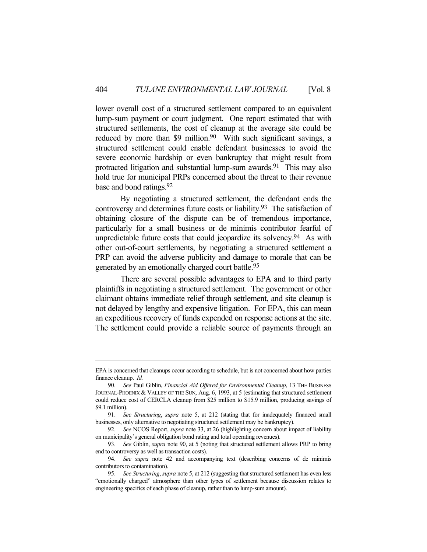lower overall cost of a structured settlement compared to an equivalent lump-sum payment or court judgment. One report estimated that with structured settlements, the cost of cleanup at the average site could be reduced by more than \$9 million.<sup>90</sup> With such significant savings, a structured settlement could enable defendant businesses to avoid the severe economic hardship or even bankruptcy that might result from protracted litigation and substantial lump-sum awards.<sup>91</sup> This may also hold true for municipal PRPs concerned about the threat to their revenue base and bond ratings.92

 By negotiating a structured settlement, the defendant ends the controversy and determines future costs or liability.<sup>93</sup> The satisfaction of obtaining closure of the dispute can be of tremendous importance, particularly for a small business or de minimis contributor fearful of unpredictable future costs that could jeopardize its solvency.<sup>94</sup> As with other out-of-court settlements, by negotiating a structured settlement a PRP can avoid the adverse publicity and damage to morale that can be generated by an emotionally charged court battle.95

 There are several possible advantages to EPA and to third party plaintiffs in negotiating a structured settlement. The government or other claimant obtains immediate relief through settlement, and site cleanup is not delayed by lengthy and expensive litigation. For EPA, this can mean an expeditious recovery of funds expended on response actions at the site. The settlement could provide a reliable source of payments through an

EPA is concerned that cleanups occur according to schedule, but is not concerned about how parties finance cleanup. *Id.*

 <sup>90.</sup> *See* Paul Giblin, *Financial Aid Offered for Environmental Cleanup*, 13 THE BUSINESS JOURNAL-PHOENIX & VALLEY OF THE SUN, Aug. 6, 1993, at 5 (estimating that structured settlement could reduce cost of CERCLA cleanup from \$25 million to S15.9 million, producing savings of \$9.1 million).

 <sup>91.</sup> *See Structuring*, *supra* note 5, at 212 (stating that for inadequately financed small businesses, only alternative to negotiating structured settlement may be bankruptcy).

 <sup>92.</sup> *See* NCOS Report, *supra* note 33, at 26 (highlighting concern about impact of liability on municipality's general obligation bond rating and total operating revenues).

 <sup>93.</sup> *See* Giblin, *supra* note 90, at 5 (noting that structured settlement allows PRP to bring end to controversy as well as transaction costs).

 <sup>94.</sup> *See supra* note 42 and accompanying text (describing concerns of de minimis contributors to contamination).

 <sup>95.</sup> *See Structuring*, *supra* note 5, at 212 (suggesting that structured settlement has even less "emotionally charged" atmosphere than other types of settlement because discussion relates to engineering specifics of each phase of cleanup, rather than to lump-sum amount).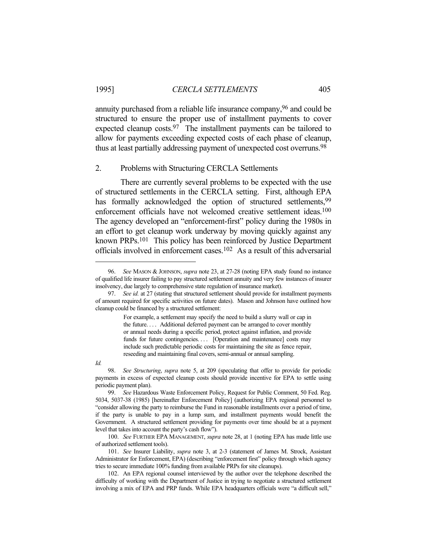annuity purchased from a reliable life insurance company,96 and could be structured to ensure the proper use of installment payments to cover expected cleanup costs.<sup>97</sup> The installment payments can be tailored to allow for payments exceeding expected costs of each phase of cleanup, thus at least partially addressing payment of unexpected cost overruns.98

#### 2. Problems with Structuring CERCLA Settlements

 There are currently several problems to be expected with the use of structured settlements in the CERCLA setting. First, although EPA has formally acknowledged the option of structured settlements, <sup>99</sup> enforcement officials have not welcomed creative settlement ideas.<sup>100</sup> The agency developed an "enforcement-first" policy during the 1980s in an effort to get cleanup work underway by moving quickly against any known PRPs.101 This policy has been reinforced by Justice Department officials involved in enforcement cases.102 As a result of this adversarial

 <sup>96.</sup> *See* MASON & JOHNSON, *supra* note 23, at 27-28 (noting EPA study found no instance of qualified life insurer failing to pay structured settlement annuity and very few instances of insurer insolvency, due largely to comprehensive state regulation of insurance market).

 <sup>97.</sup> *See id.* at 27 (stating that structured settlement should provide for installment payments of amount required for specific activities on future dates). Mason and Johnson have outlined how cleanup could be financed by a structured settlement:

For example, a settlement may specify the need to build a slurry wall or cap in the future. . . . Additional deferred payment can be arranged to cover monthly or annual needs during a specific period, protect against inflation, and provide funds for future contingencies.... [Operation and maintenance] costs may include such predictable periodic costs for maintaining the site as fence repair, reseeding and maintaining final covers, semi-annual or annual sampling.

*Id.*

 <sup>98.</sup> *See Structuring*, *supra* note 5, at 209 (speculating that offer to provide for periodic payments in excess of expected cleanup costs should provide incentive for EPA to settle using periodic payment plan).

 <sup>99.</sup> *See* Hazardous Waste Enforcement Policy, Request for Public Comment, 50 Fed. Reg. 5034, 5037-38 (1985) [hereinafter Enforcement Policy] (authorizing EPA regional personnel to "consider allowing the party to reimburse the Fund in reasonable installments over a period of time, if the party is unable to pay in a lump sum, and installment payments would benefit the Government. A structured settlement providing for payments over time should be at a payment level that takes into account the party's cash flow").

 <sup>100.</sup> *See* FURTHER EPA MANAGEMENT, *supra* note 28, at 1 (noting EPA has made little use of authorized settlement tools).

 <sup>101.</sup> *See* Insurer Liability, *supra* note 3, at 2-3 (statement of James M. Strock, Assistant Administrator for Enforcement, EPA) (describing "enforcement first" policy through which agency tries to secure immediate 100% funding from available PRPs for site cleanups).

 <sup>102.</sup> An EPA regional counsel interviewed by the author over the telephone described the difficulty of working with the Department of Justice in trying to negotiate a structured settlement involving a mix of EPA and PRP funds. While EPA headquarters officials were "a difficult sell,"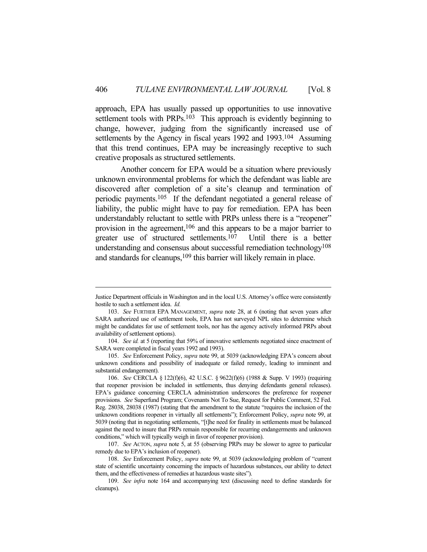approach, EPA has usually passed up opportunities to use innovative settlement tools with PRPs.<sup>103</sup> This approach is evidently beginning to change, however, judging from the significantly increased use of settlements by the Agency in fiscal years 1992 and 1993.<sup>104</sup> Assuming that this trend continues, EPA may be increasingly receptive to such creative proposals as structured settlements.

 Another concern for EPA would be a situation where previously unknown environmental problems for which the defendant was liable are discovered after completion of a site's cleanup and termination of periodic payments.105 If the defendant negotiated a general release of liability, the public might have to pay for remediation. EPA has been understandably reluctant to settle with PRPs unless there is a "reopener" provision in the agreement,<sup>106</sup> and this appears to be a major barrier to greater use of structured settlements.107 Until there is a better understanding and consensus about successful remediation technology<sup>108</sup> and standards for cleanups,<sup>109</sup> this barrier will likely remain in place.

Justice Department officials in Washington and in the local U.S. Attorney's office were consistently hostile to such a settlement idea. *Id.*

 <sup>103.</sup> *See* FURTHER EPA MANAGEMENT, *supra* note 28, at 6 (noting that seven years after SARA authorized use of settlement tools, EPA has not surveyed NPL sites to determine which might be candidates for use of settlement tools, nor has the agency actively informed PRPs about availability of settlement options).

 <sup>104.</sup> *See id.* at 5 (reporting that 59% of innovative settlements negotiated since enactment of SARA were completed in fiscal years 1992 and 1993).

 <sup>105.</sup> *See* Enforcement Policy, *supra* note 99, at 5039 (acknowledging EPA's concern about unknown conditions and possibility of inadequate or failed remedy, leading to imminent and substantial endangerment).

 <sup>106.</sup> *See* CERCLA § 122(f)(6), 42 U.S.C. § 9622(f)(6) (1988 & Supp. V 1993) (requiring that reopener provision be included in settlements, thus denying defendants general releases). EPA's guidance concerning CERCLA administration underscores the preference for reopener provisions. *See* Superfund Program; Covenants Not To Sue, Request for Public Comment, 52 Fed. Reg. 28038, 28038 (1987) (stating that the amendment to the statute "requires the inclusion of the unknown conditions reopener in virtually all settlements"); Enforcement Policy, *supra* note 99, at 5039 (noting that in negotiating settlements, "[t]he need for finality in settlements must be balanced against the need to insure that PRPs remain responsible for recurring endangerments and unknown conditions," which will typically weigh in favor of reopener provision).

 <sup>107.</sup> *See* ACTON, *supra* note 5, at 55 (observing PRPs may be slower to agree to particular remedy due to EPA's inclusion of reopener).

 <sup>108.</sup> *See* Enforcement Policy, *supra* note 99, at 5039 (acknowledging problem of "current state of scientific uncertainty concerning the impacts of hazardous substances, our ability to detect them, and the effectiveness of remedies at hazardous waste sites").

 <sup>109.</sup> *See infra* note 164 and accompanying text (discussing need to define standards for cleanups).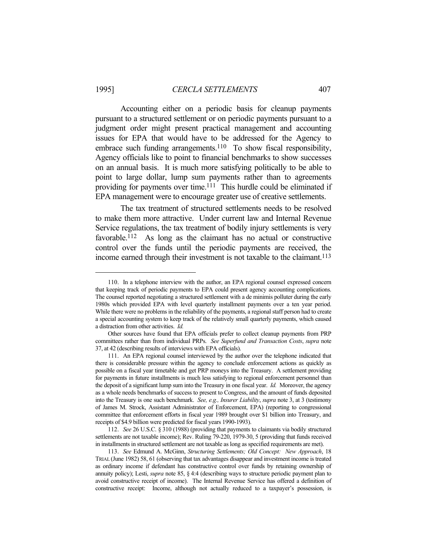Accounting either on a periodic basis for cleanup payments pursuant to a structured settlement or on periodic payments pursuant to a judgment order might present practical management and accounting issues for EPA that would have to be addressed for the Agency to embrace such funding arrangements.<sup>110</sup> To show fiscal responsibility, Agency officials like to point to financial benchmarks to show successes on an annual basis. It is much more satisfying politically to be able to point to large dollar, lump sum payments rather than to agreements providing for payments over time.<sup>111</sup> This hurdle could be eliminated if EPA management were to encourage greater use of creative settlements.

 The tax treatment of structured settlements needs to be resolved to make them more attractive. Under current law and Internal Revenue Service regulations, the tax treatment of bodily injury settlements is very favorable.112 As long as the claimant has no actual or constructive control over the funds until the periodic payments are received, the income earned through their investment is not taxable to the claimant.<sup>113</sup>

 <sup>110.</sup> In a telephone interview with the author, an EPA regional counsel expressed concern that keeping track of periodic payments to EPA could present agency accounting complications. The counsel reported negotiating a structured settlement with a de minimis polluter during the early 1980s which provided EPA with level quarterly installment payments over a ten year period. While there were no problems in the reliability of the payments, a regional staff person had to create a special accounting system to keep track of the relatively small quarterly payments, which caused a distraction from other activities. *Id.*

Other sources have found that EPA officials prefer to collect cleanup payments from PRP committees rather than from individual PRPs. *See Superfund and Transaction Costs*, *supra* note 37, at 42 (describing results of interviews with EPA officials).

 <sup>111.</sup> An EPA regional counsel interviewed by the author over the telephone indicated that there is considerable pressure within the agency to conclude enforcement actions as quickly as possible on a fiscal year timetable and get PRP moneys into the Treasury. A settlement providing for payments in future installments is much less satisfying to regional enforcement personnel than the deposit of a significant lump sum into the Treasury in one fiscal year. *Id.* Moreover, the agency as a whole needs benchmarks of success to present to Congress, and the amount of funds deposited into the Treasury is one such benchmark. *See, e.g., Insurer Liability*, *supra* note 3, at 3 (testimony of James M. Strock, Assistant Administrator of Enforcement, EPA) (reporting to congressional committee that enforcement efforts in fiscal year 1989 brought over \$1 billion into Treasury, and receipts of \$4.9 billion were predicted for fiscal years 1990-1993).

 <sup>112.</sup> *See* 26 U.S.C. § 310 (1988) (providing that payments to claimants via bodily structured settlements are not taxable income); Rev. Ruling 79-220, 1979-30, 5 (providing that funds received in installments in structured settlement are not taxable as long as specified requirements are met).

 <sup>113.</sup> *See* Edmund A. McGinn, *Structuring Settlements; Old Concept: New Approach*, 18 TRIAL (June 1982) 58, 61 (observing that tax advantages disappear and investment income is treated as ordinary income if defendant has constructive control over funds by retaining ownership of annuity policy); Lesti, *supra* note 85, § 4:4 (describing ways to structure periodic payment plan to avoid constructive receipt of income). The Internal Revenue Service has offered a definition of constructive receipt: Income, although not actually reduced to a taxpayer's possession, is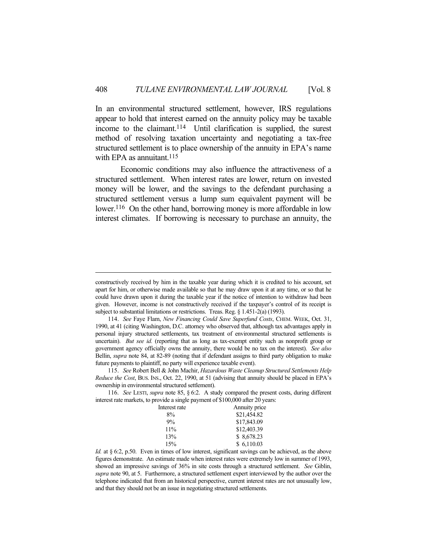In an environmental structured settlement, however, IRS regulations appear to hold that interest earned on the annuity policy may be taxable income to the claimant.114 Until clarification is supplied, the surest method of resolving taxation uncertainty and negotiating a tax-free structured settlement is to place ownership of the annuity in EPA's name with EPA as annuitant.<sup>115</sup>

 Economic conditions may also influence the attractiveness of a structured settlement. When interest rates are lower, return on invested money will be lower, and the savings to the defendant purchasing a structured settlement versus a lump sum equivalent payment will be lower.<sup>116</sup> On the other hand, borrowing money is more affordable in low interest climates. If borrowing is necessary to purchase an annuity, the

 <sup>116.</sup> *See* LESTI, *supra* note 85, § 6:2. A study compared the present costs, during different interest rate markets, to provide a single payment of \$100,000 after 20 years:

| Interest rate | Annuity price |
|---------------|---------------|
| 8%            | \$21,454.82   |
| 9%            | \$17,843.09   |
| $11\%$        | \$12,403.39   |
| 13%           | \$ 8,678.23   |
| 15%           | \$6,110.03    |
|               |               |

*Id.* at § 6:2, p.50. Even in times of low interest, significant savings can be achieved, as the above figures demonstrate. An estimate made when interest rates were extremely low in summer of 1993, showed an impressive savings of 36% in site costs through a structured settlement. *See* Giblin, *supra* note 90, at 5. Furthermore, a structured settlement expert interviewed by the author over the telephone indicated that from an historical perspective, current interest rates are not unusually low, and that they should not be an issue in negotiating structured settlements.

constructively received by him in the taxable year during which it is credited to his account, set apart for him, or otherwise made available so that he may draw upon it at any time, or so that he could have drawn upon it during the taxable year if the notice of intention to withdraw had been given. However, income is not constructively received if the taxpayer's control of its receipt is subject to substantial limitations or restrictions. Treas. Reg. § 1.451-2(a) (1993).

 <sup>114.</sup> *See* Faye Flam, *New Financing Could Save Superfund Costs*, CHEM. WEEK, Oct. 31, 1990, at 41 (citing Washington, D.C. attorney who observed that, although tax advantages apply in personal injury structured settlements, tax treatment of environmental structured settlements is uncertain). *But see id.* (reporting that as long as tax-exempt entity such as nonprofit group or government agency officially owns the annuity, there would be no tax on the interest). *See also* Bellin, *supra* note 84, at 82-89 (noting that if defendant assigns to third party obligation to make future payments to plaintiff, no party will experience taxable event).

 <sup>115.</sup> *See* Robert Bell & John Machir, *Hazardous Waste Cleanup Structured Settlements Help Reduce the Cost*, BUS. INS., Oct. 22, 1990, at 51 (advising that annuity should be placed in EPA's ownership in environmental structured settlement).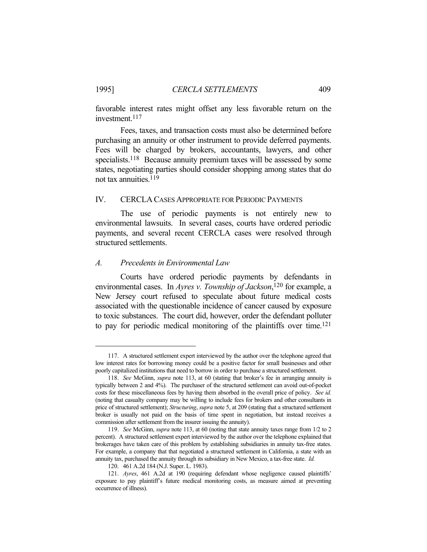favorable interest rates might offset any less favorable return on the investment.117

 Fees, taxes, and transaction costs must also be determined before purchasing an annuity or other instrument to provide deferred payments. Fees will be charged by brokers, accountants, lawyers, and other specialists.<sup>118</sup> Because annuity premium taxes will be assessed by some states, negotiating parties should consider shopping among states that do not tax annuities.119

#### IV. CERCLA CASES APPROPRIATE FOR PERIODIC PAYMENTS

 The use of periodic payments is not entirely new to environmental lawsuits. In several cases, courts have ordered periodic payments, and several recent CERCLA cases were resolved through structured settlements.

#### *A. Precedents in Environmental Law*

 Courts have ordered periodic payments by defendants in environmental cases. In *Ayres v. Township of Jackson*, 120 for example, a New Jersey court refused to speculate about future medical costs associated with the questionable incidence of cancer caused by exposure to toxic substances. The court did, however, order the defendant polluter to pay for periodic medical monitoring of the plaintiffs over time.121

 <sup>117.</sup> A structured settlement expert interviewed by the author over the telephone agreed that low interest rates for borrowing money could be a positive factor for small businesses and other poorly capitalized institutions that need to borrow in order to purchase a structured settlement.

 <sup>118.</sup> *See* McGinn, *supra* note 113, at 60 (stating that broker's fee in arranging annuity is typically between 2 and 4%). The purchaser of the structured settlement can avoid out-of-pocket costs for these miscellaneous fees by having them absorbed in the overall price of policy. *See id.* (noting that casualty company may be willing to include fees for brokers and other consultants in price of structured settlement); *Structuring*, *supra* note 5, at 209 (stating that a structured settlement broker is usually not paid on the basis of time spent in negotiation, but instead receives a commission after settlement from the insurer issuing the annuity).

 <sup>119.</sup> *See* McGinn, *supra* note 113, at 60 (noting that state annuity taxes range from 1/2 to 2 percent). A structured settlement expert interviewed by the author over the telephone explained that brokerages have taken care of this problem by establishing subsidiaries in annuity tax-free states. For example, a company that that negotiated a structured settlement in California, a state with an annuity tax, purchased the annuity through its subsidiary in New Mexico, a tax-free state. *Id.*

 <sup>120. 461</sup> A.2d 184 (N.J. Super. L. 1983).

 <sup>121.</sup> *Ayres*, 461 A.2d at 190 (requiring defendant whose negligence caused plaintiffs' exposure to pay plaintiff's future medical monitoring costs, as measure aimed at preventing occurrence of illness).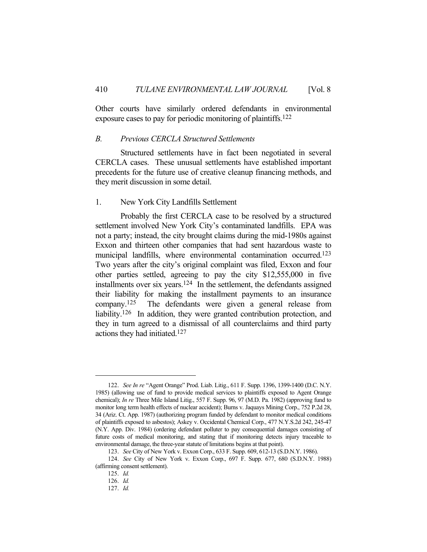Other courts have similarly ordered defendants in environmental exposure cases to pay for periodic monitoring of plaintiffs.122

#### *B. Previous CERCLA Structured Settlements*

 Structured settlements have in fact been negotiated in several CERCLA cases. These unusual settlements have established important precedents for the future use of creative cleanup financing methods, and they merit discussion in some detail.

#### 1. New York City Landfills Settlement

 Probably the first CERCLA case to be resolved by a structured settlement involved New York City's contaminated landfills. EPA was not a party; instead, the city brought claims during the mid-1980s against Exxon and thirteen other companies that had sent hazardous waste to municipal landfills, where environmental contamination occurred. 123 Two years after the city's original complaint was filed, Exxon and four other parties settled, agreeing to pay the city \$12,555,000 in five installments over six years.124 In the settlement, the defendants assigned their liability for making the installment payments to an insurance company.125 The defendants were given a general release from liability.<sup>126</sup> In addition, they were granted contribution protection, and they in turn agreed to a dismissal of all counterclaims and third party actions they had initiated.127

 <sup>122.</sup> *See In re* "Agent Orange" Prod. Liab. Litig., 611 F. Supp. 1396, 1399-1400 (D.C. N.Y. 1985) (allowing use of fund to provide medical services to plaintiffs exposed to Agent Orange chemical); *In re* Three Mile Island Litig., 557 F. Supp. 96, 97 (M.D. Pa. 1982) (approving fund to monitor long term health effects of nuclear accident); Burns v. Jaquays Mining Corp., 752 P.2d 28, 34 (Ariz. Ct. App. 1987) (authorizing program funded by defendant to monitor medical conditions of plaintiffs exposed to asbestos); Askey v. Occidental Chemical Corp., 477 N.Y.S.2d 242, 245-47 (N.Y. App. Div. 1984) (ordering defendant polluter to pay consequential damages consisting of future costs of medical monitoring, and stating that if monitoring detects injury traceable to environmental damage, the three-year statute of limitations begins at that point).

 <sup>123.</sup> *See* City of New York v. Exxon Corp., 633 F. Supp. 609, 612-13 (S.D.N.Y. 1986).

 <sup>124.</sup> *See* City of New York v. Exxon Corp., 697 F. Supp. 677, 680 (S.D.N.Y. 1988) (affirming consent settlement).

 <sup>125.</sup> *Id.*

 <sup>126.</sup> *Id.*

 <sup>127.</sup> *Id.*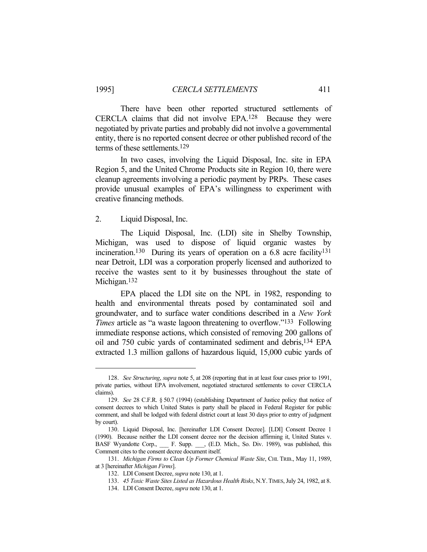There have been other reported structured settlements of CERCLA claims that did not involve EPA.128 Because they were negotiated by private parties and probably did not involve a governmental entity, there is no reported consent decree or other published record of the terms of these settlements.129

 In two cases, involving the Liquid Disposal, Inc. site in EPA Region 5, and the United Chrome Products site in Region 10, there were cleanup agreements involving a periodic payment by PRPs. These cases provide unusual examples of EPA's willingness to experiment with creative financing methods.

#### 2. Liquid Disposal, Inc.

 The Liquid Disposal, Inc. (LDI) site in Shelby Township, Michigan, was used to dispose of liquid organic wastes by incineration.<sup>130</sup> During its years of operation on a 6.8 acre facility<sup>131</sup> near Detroit, LDI was a corporation properly licensed and authorized to receive the wastes sent to it by businesses throughout the state of Michigan.<sup>132</sup>

 EPA placed the LDI site on the NPL in 1982, responding to health and environmental threats posed by contaminated soil and groundwater, and to surface water conditions described in a *New York Times* article as "a waste lagoon threatening to overflow."133 Following immediate response actions, which consisted of removing 200 gallons of oil and 750 cubic yards of contaminated sediment and debris,134 EPA extracted 1.3 million gallons of hazardous liquid, 15,000 cubic yards of

 <sup>128.</sup> *See Structuring*, *supra* note 5, at 208 (reporting that in at least four cases prior to 1991, private parties, without EPA involvement, negotiated structured settlements to cover CERCLA claims).

 <sup>129.</sup> *See* 28 C.F.R. § 50.7 (1994) (establishing Department of Justice policy that notice of consent decrees to which United States is party shall be placed in Federal Register for public comment, and shall be lodged with federal district court at least 30 days prior to entry of judgment by court).

 <sup>130.</sup> Liquid Disposal, Inc. [hereinafter LDI Consent Decree]. [LDI] Consent Decree 1 (1990). Because neither the LDI consent decree nor the decision affirming it, United States v. BASF Wyandotte Corp., \_\_\_ F. Supp. \_\_, (E.D. Mich., So. Div. 1989), was published, this Comment cites to the consent decree document itself.

 <sup>131.</sup> *Michigan Firms to Clean Up Former Chemical Waste Site*, CHI. TRIB., May 11, 1989, at 3 [hereinafter *Michigan Firms*].

 <sup>132.</sup> LDI Consent Decree, *supra* note 130, at 1.

 <sup>133.</sup> *45 Toxic Waste Sites Listed as Hazardous Health Risks*, N.Y.TIMES, July 24, 1982, at 8.

 <sup>134.</sup> LDI Consent Decree, *supra* note 130, at 1.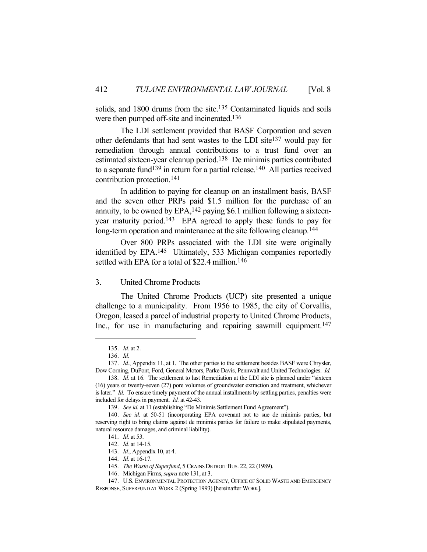solids, and 1800 drums from the site.<sup>135</sup> Contaminated liquids and soils were then pumped off-site and incinerated.136

 The LDI settlement provided that BASF Corporation and seven other defendants that had sent wastes to the LDI site137 would pay for remediation through annual contributions to a trust fund over an estimated sixteen-year cleanup period.138 De minimis parties contributed to a separate fund<sup>139</sup> in return for a partial release.<sup>140</sup> All parties received contribution protection.141

 In addition to paying for cleanup on an installment basis, BASF and the seven other PRPs paid \$1.5 million for the purchase of an annuity, to be owned by  $EPA$ , <sup>142</sup> paying \$6.1 million following a sixteenyear maturity period.143 EPA agreed to apply these funds to pay for long-term operation and maintenance at the site following cleanup.<sup>144</sup>

 Over 800 PRPs associated with the LDI site were originally identified by EPA.145 Ultimately, 533 Michigan companies reportedly settled with EPA for a total of \$22.4 million.<sup>146</sup>

# 3. United Chrome Products

 The United Chrome Products (UCP) site presented a unique challenge to a municipality. From 1956 to 1985, the city of Corvallis, Oregon, leased a parcel of industrial property to United Chrome Products, Inc., for use in manufacturing and repairing sawmill equipment.<sup>147</sup>

 <sup>135.</sup> *Id.* at 2.

 <sup>136.</sup> *Id.*

 <sup>137.</sup> *Id.*, Appendix 11, at 1. The other parties to the settlement besides BASF were Chrysler, Dow Corning, DuPont, Ford, General Motors, Parke Davis, Pennwalt and United Technologies. *Id.*

 <sup>138.</sup> *Id.* at 16. The settlement to last Remediation at the LDI site is planned under "sixteen (16) years or twenty-seven (27) pore volumes of groundwater extraction and treatment, whichever is later." *Id.* To ensure timely payment of the annual installments by settling parties, penalties were included for delays in payment. *Id.* at 42-43.

 <sup>139.</sup> *See id.* at 11 (establishing "De Minimis Settlement Fund Agreement").

 <sup>140.</sup> *See id.* at 50-51 (incorporating EPA covenant not to sue de minimis parties, but reserving right to bring claims against de minimis parties for failure to make stipulated payments, natural resource damages, and criminal liability).

 <sup>141.</sup> *Id.* at 53.

 <sup>142.</sup> *Id.* at 14-15.

 <sup>143.</sup> *Id.*, Appendix 10, at 4.

 <sup>144.</sup> *Id.* at 16-17.

 <sup>145.</sup> *The Waste of Superfund*, 5 CRAINS DETROIT BUS. 22, 22 (1989).

 <sup>146.</sup> Michigan Firms, *supra* note 131, at 3.

 <sup>147.</sup> U.S. ENVIRONMENTAL PROTECTION AGENCY, OFFICE OF SOLID WASTE AND EMERGENCY

RESPONSE, SUPERFUND AT WORK 2 (Spring 1993) [hereinafter WORK].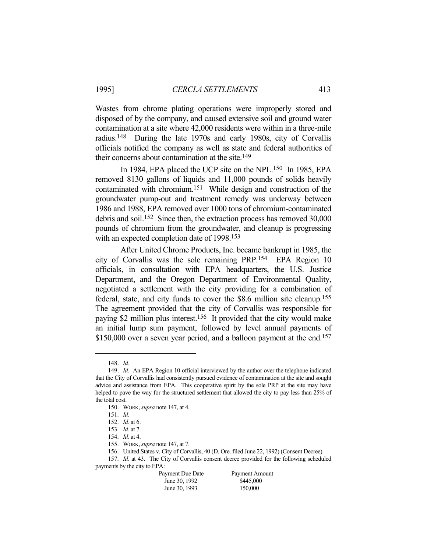Wastes from chrome plating operations were improperly stored and disposed of by the company, and caused extensive soil and ground water contamination at a site where 42,000 residents were within in a three-mile radius.148 During the late 1970s and early 1980s, city of Corvallis officials notified the company as well as state and federal authorities of their concerns about contamination at the site.149

 In 1984, EPA placed the UCP site on the NPL.150 In 1985, EPA removed 8130 gallons of liquids and 11,000 pounds of solids heavily contaminated with chromium.151 While design and construction of the groundwater pump-out and treatment remedy was underway between 1986 and 1988, EPA removed over 1000 tons of chromium-contaminated debris and soil.152 Since then, the extraction process has removed 30,000 pounds of chromium from the groundwater, and cleanup is progressing with an expected completion date of 1998.153

 After United Chrome Products, Inc. became bankrupt in 1985, the city of Corvallis was the sole remaining PRP.154 EPA Region 10 officials, in consultation with EPA headquarters, the U.S. Justice Department, and the Oregon Department of Environmental Quality, negotiated a settlement with the city providing for a combination of federal, state, and city funds to cover the \$8.6 million site cleanup.155 The agreement provided that the city of Corvallis was responsible for paying \$2 million plus interest.156 It provided that the city would make an initial lump sum payment, followed by level annual payments of \$150,000 over a seven year period, and a balloon payment at the end.<sup>157</sup>

 <sup>157.</sup> *Id.* at 43. The City of Corvallis consent decree provided for the following scheduled payments by the city to EPA:

| Payment Due Date | Payment Amount |
|------------------|----------------|
| June 30, 1992    | \$445,000      |
| June 30, 1993    | 150,000        |

 <sup>148.</sup> *Id.*

 <sup>149.</sup> *Id.* An EPA Region 10 official interviewed by the author over the telephone indicated that the City of Corvallis had consistently pursued evidence of contamination at the site and sought advice and assistance from EPA. This cooperative spirit by the sole PRP at the site may have helped to pave the way for the structured settlement that allowed the city to pay less than 25% of the total cost.

 <sup>150.</sup> WORK, *supra* note 147, at 4.

 <sup>151.</sup> *Id.*

 <sup>152.</sup> *Id.* at 6.

 <sup>153.</sup> *Id.* at 7.

 <sup>154.</sup> *Id.* at 4.

 <sup>155.</sup> WORK, *supra* note 147, at 7.

 <sup>156.</sup> United States v. City of Corvallis, 40 (D. Ore. filed June 22, 1992) (Consent Decree).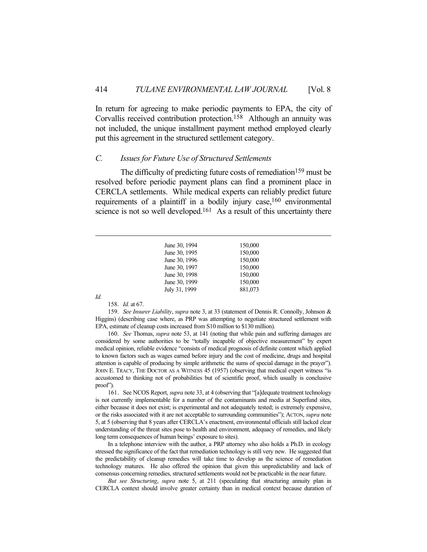In return for agreeing to make periodic payments to EPA, the city of Corvallis received contribution protection.158 Although an annuity was not included, the unique installment payment method employed clearly put this agreement in the structured settlement category.

### *C. Issues for Future Use of Structured Settlements*

The difficulty of predicting future costs of remediation<sup>159</sup> must be resolved before periodic payment plans can find a prominent place in CERCLA settlements. While medical experts can reliably predict future requirements of a plaintiff in a bodily injury case,  $160$  environmental science is not so well developed.<sup>161</sup> As a result of this uncertainty there

| June 30, 1994 | 150,000 |
|---------------|---------|
| June 30, 1995 | 150,000 |
| June 30, 1996 | 150,000 |
| June 30, 1997 | 150,000 |
| June 30, 1998 | 150,000 |
| June 30, 1999 | 150,000 |
| July 31, 1999 | 881,073 |
|               |         |

*Id.*

158. *Id.* at 67.

 159. *See Insurer Liability*, *supra* note 3, at 33 (statement of Dennis R. Connolly, Johnson & Higgins) (describing case where, as PRP was attempting to negotiate structured settlement with EPA, estimate of cleanup costs increased from S10 million to \$130 million).

 160. *See* Thomas, *supra* note 53, at 141 (noting that while pain and suffering damages are considered by some authorities to be "totally incapable of objective measurement" by expert medical opinion, reliable evidence "consists of medical prognosis of definite content which applied to known factors such as wages earned before injury and the cost of medicine, drugs and hospital attention is capable of producing by simple arithmetic the sums of special damage in the prayer"). JOHN E. TRACY, THE DOCTOR AS A WITNESS 45 (1957) (observing that medical expert witness "is accustomed to thinking not of probabilities but of scientific proof, which usually is conclusive proof").

 161. See NCOS Report, *supra* note 33, at 4 (observing that "[a]dequate treatment technology is not currently implementable for a number of the contaminants and media at Superfund sites, either because it does not exist; is experimental and not adequately tested; is extremely expensive, or the risks associated with it are not acceptable to surrounding communities"); ACTON, *supra* note 5, at 5 (observing that 8 years after CERCLA's enactment, environmental officials still lacked clear understanding of the threat sites pose to health and environment, adequacy of remedies, and likely long term consequences of human beings' exposure to sites).

 In a telephone interview with the author, a PRP attorney who also holds a Ph.D. in ecology stressed the significance of the fact that remediation technology is still very new. He suggested that the predictability of cleanup remedies will take time to develop as the science of remediation technology matures. He also offered the opinion that given this unpredictability and lack of consensus concerning remedies, structured settlements would not be practicable in the near future.

*But see Structuring*, *supra* note 5, at 211 (speculating that structuring annuity plan in CERCLA context should involve greater certainty than in medical context because duration of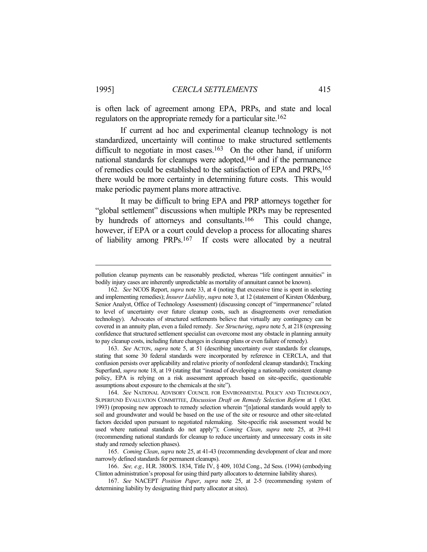is often lack of agreement among EPA, PRPs, and state and local regulators on the appropriate remedy for a particular site.<sup>162</sup>

 If current ad hoc and experimental cleanup technology is not standardized, uncertainty will continue to make structured settlements difficult to negotiate in most cases.<sup>163</sup> On the other hand, if uniform national standards for cleanups were adopted,164 and if the permanence of remedies could be established to the satisfaction of EPA and PRPs,165 there would be more certainty in determining future costs. This would make periodic payment plans more attractive.

 It may be difficult to bring EPA and PRP attorneys together for "global settlement" discussions when multiple PRPs may be represented by hundreds of attorneys and consultants.166 This could change, however, if EPA or a court could develop a process for allocating shares of liability among PRPs.167 If costs were allocated by a neutral

pollution cleanup payments can be reasonably predicted, whereas "life contingent annuities" in bodily injury cases are inherently unpredictable as mortality of annuitant cannot be known).

 <sup>162.</sup> *See* NCOS Report, *supra* note 33, at 4 (noting that excessive time is spent in selecting and implementing remedies); *Insurer Liability*, *supra* note 3, at 12 (statement of Kirsten Oldenburg, Senior Analyst, Office of Technology Assessment) (discussing concept of "impermanence" related to level of uncertainty over future cleanup costs, such as disagreements over remediation technology). Advocates of structured settlements believe that virtually any contingency can be covered in an annuity plan, even a failed remedy. *See Structuring*, *supra* note 5, at 218 (expressing confidence that structured settlement specialist can overcome most any obstacle in planning annuity to pay cleanup costs, including future changes in cleanup plans or even failure of remedy).

 <sup>163.</sup> *See* ACTON, *supra* note 5, at 51 (describing uncertainty over standards for cleanups, stating that some 30 federal standards were incorporated by reference in CERCLA, and that confusion persists over applicability and relative priority of nonfederal cleanup standards); Tracking Superfund, *supra* note 18, at 19 (stating that "instead of developing a nationally consistent cleanup policy, EPA is relying on a risk assessment approach based on site-specific, questionable assumptions about exposure to the chemicals at the site").

 <sup>164.</sup> *See* NATIONAL ADVISORY COUNCIL FOR ENVIRONMENTAL POLICY AND TECHNOLOGY, SUPERFUND EVALUATION COMMITTEE, *Discussion Draft on Remedy Selection Reform* at 1 (Oct. 1993) (proposing new approach to remedy selection wherein "[n]ational standards would apply to soil and groundwater and would be based on the use of the site or resource and other site-related factors decided upon pursuant to negotiated rulemaking. Site-specific risk assessment would be used where national standards do not apply"); *Coming Clean*, *supra* note 25, at 39-41 (recommending national standards for cleanup to reduce uncertainty and unnecessary costs in site study and remedy selection phases).

 <sup>165.</sup> *Coming Clean*, *supra* note 25, at 41-43 (recommending development of clear and more narrowly defined standards for permanent cleanups).

 <sup>166.</sup> *See, e.g.,* H.R. 3800/S. 1834, Title IV, § 409, 103d Cong., 2d Sess. (1994) (embodying Clinton administration's proposal for using third party allocators to determine liability shares).

 <sup>167.</sup> *See* NACEPT *Position Paper*, *supra* note 25, at 2-5 (recommending system of determining liability by designating third party allocator at sites).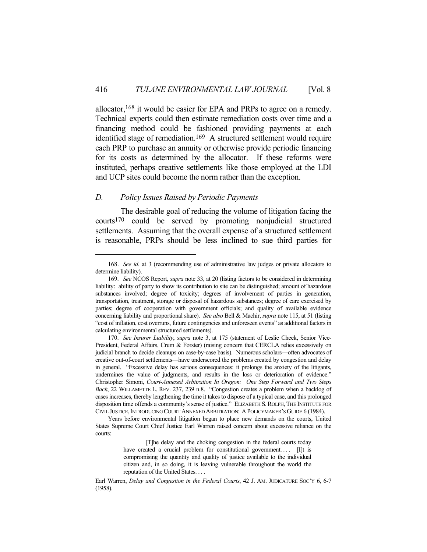allocator,168 it would be easier for EPA and PRPs to agree on a remedy. Technical experts could then estimate remediation costs over time and a financing method could be fashioned providing payments at each identified stage of remediation.<sup>169</sup> A structured settlement would require each PRP to purchase an annuity or otherwise provide periodic financing for its costs as determined by the allocator. If these reforms were instituted, perhaps creative settlements like those employed at the LDI and UCP sites could become the norm rather than the exception.

# *D. Policy Issues Raised by Periodic Payments*

 The desirable goal of reducing the volume of litigation facing the courts170 could be served by promoting nonjudicial structured settlements. Assuming that the overall expense of a structured settlement is reasonable, PRPs should be less inclined to sue third parties for

 Years before environmental litigation began to place new demands on the courts, United States Supreme Court Chief Justice Earl Warren raised concern about excessive reliance on the courts:

 <sup>168.</sup> *See id.* at 3 (recommending use of administrative law judges or private allocators to determine liability).

 <sup>169.</sup> *See* NCOS Report, *supra* note 33, at 20 (listing factors to be considered in determining liability: ability of party to show its contribution to site can be distinguished; amount of hazardous substances involved; degree of toxicity; degrees of involvement of parties in generation, transportation, treatment, storage or disposal of hazardous substances; degree of care exercised by parties; degree of cooperation with government officials; and quality of available evidence concerning liability and proportional share). *See also* Bell & Machir, *supra* note 115, at 51 (listing "cost of inflation, cost overruns, future contingencies and unforeseen events" as additional factors in calculating environmental structured settlements).

 <sup>170.</sup> *See Insurer Liability*, *supra* note 3, at 175 (statement of Leslie Cheek, Senior Vice-President, Federal Affairs, Crum & Forster) (raising concern that CERCLA relies excessively on judicial branch to decide cleanups on case-by-case basis). Numerous scholars—often advocates of creative out-of-court settlements—have underscored the problems created by congestion and delay in general. "Excessive delay has serious consequences: it prolongs the anxiety of the litigants, undermines the value of judgments, and results in the loss or deterioration of evidence." Christopher Simoni, *Court-Annexed Arbitration In Oregon: One Step Forward and Two Steps Back*, 22 WILLAMETTE L. REV. 237, 239 n.8. "Congestion creates a problem when a backlog of cases increases, thereby lengthening the time it takes to dispose of a typical case, and this prolonged disposition time offends a community's sense of justice." ELIZABETH S.ROLPH, THE INSTITUTE FOR CIVIL JUSTICE,INTRODUCING COURT ANNEXED ARBITRATION: APOLICYMAKER'S GUIDE 6 (1984).

 <sup>[</sup>T]he delay and the choking congestion in the federal courts today have created a crucial problem for constitutional government.... [I]t is compromising the quantity and quality of justice available to the individual citizen and, in so doing, it is leaving vulnerable throughout the world the reputation of the United States. . . .

Earl Warren, *Delay and Congestion in the Federal Courts*, 42 J. AM. JUDICATURE SOC'Y 6, 6-7 (1958).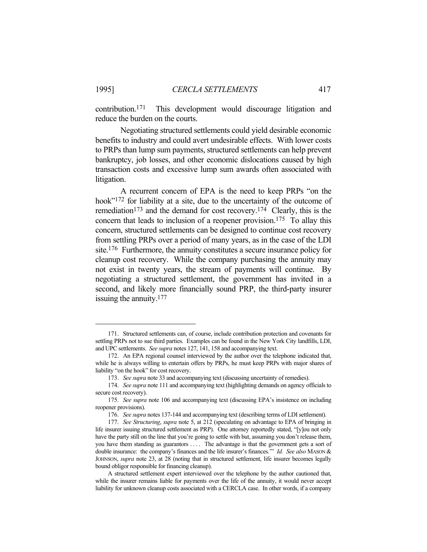contribution.171 This development would discourage litigation and reduce the burden on the courts.

 Negotiating structured settlements could yield desirable economic benefits to industry and could avert undesirable effects. With lower costs to PRPs than lump sum payments, structured settlements can help prevent bankruptcy, job losses, and other economic dislocations caused by high transaction costs and excessive lump sum awards often associated with litigation.

 A recurrent concern of EPA is the need to keep PRPs "on the hook"<sup>172</sup> for liability at a site, due to the uncertainty of the outcome of remediation<sup>173</sup> and the demand for cost recovery.<sup>174</sup> Clearly, this is the concern that leads to inclusion of a reopener provision.175 To allay this concern, structured settlements can be designed to continue cost recovery from settling PRPs over a period of many years, as in the case of the LDI site.176 Furthermore, the annuity constitutes a secure insurance policy for cleanup cost recovery. While the company purchasing the annuity may not exist in twenty years, the stream of payments will continue. By negotiating a structured settlement, the government has invited in a second, and likely more financially sound PRP, the third-party insurer issuing the annuity.177

 <sup>171.</sup> Structured settlements can, of course, include contribution protection and covenants for settling PRPs not to sue third parties. Examples can be found in the New York City landfills, LDI, and UPC settlements. *See supra* notes 127, 141, 158 and accompanying text.

 <sup>172.</sup> An EPA regional counsel interviewed by the author over the telephone indicated that, while he is always willing to entertain offers by PRPs, he must keep PRPs with major shares of liability "on the hook" for cost recovery.

 <sup>173.</sup> *See supra* note 33 and accompanying text (discussing uncertainty of remedies).

 <sup>174.</sup> *See supra* note 111 and accompanying text (highlighting demands on agency officials to secure cost recovery).

 <sup>175.</sup> *See supra* note 106 and accompanying text (discussing EPA's insistence on including reopener provisions).

 <sup>176.</sup> *See supra* notes 137-144 and accompanying text (describing terms of LDI settlement).

 <sup>177.</sup> *See Structuring*, *supra* note 5, at 212 (speculating on advantage to EPA of bringing in life insurer issuing structured settlement as PRP). One attorney reportedly stated, "[y]ou not only have the party still on the line that you're going to settle with but, assuming you don't release them, you have them standing as guarantors .... The advantage is that the government gets a sort of double insurance: the company's finances and the life insurer's finances.'" *Id. See also* MASON & JOHNSON, *supra* note 23, at 28 (noting that in structured settlement, life insurer becomes legally bound obligor responsible for financing cleanup).

A structured settlement expert interviewed over the telephone by the author cautioned that, while the insurer remains liable for payments over the life of the annuity, it would never accept liability for unknown cleanup costs associated with a CERCLA case. In other words, if a company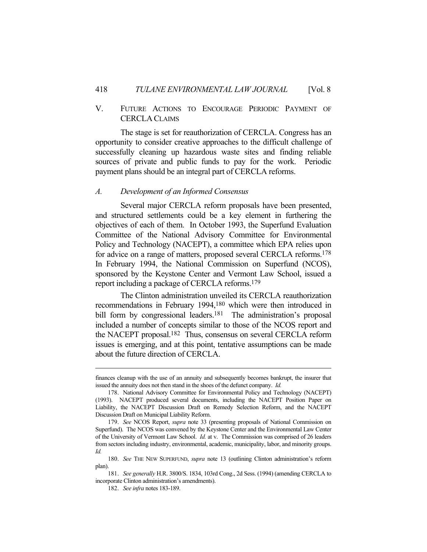# V. FUTURE ACTIONS TO ENCOURAGE PERIODIC PAYMENT OF CERCLA CLAIMS

 The stage is set for reauthorization of CERCLA. Congress has an opportunity to consider creative approaches to the difficult challenge of successfully cleaning up hazardous waste sites and finding reliable sources of private and public funds to pay for the work. Periodic payment plans should be an integral part of CERCLA reforms.

# *A. Development of an Informed Consensus*

 Several major CERCLA reform proposals have been presented, and structured settlements could be a key element in furthering the objectives of each of them. In October 1993, the Superfund Evaluation Committee of the National Advisory Committee for Environmental Policy and Technology (NACEPT), a committee which EPA relies upon for advice on a range of matters, proposed several CERCLA reforms.178 In February 1994, the National Commission on Superfund (NCOS), sponsored by the Keystone Center and Vermont Law School, issued a report including a package of CERCLA reforms.179

 The Clinton administration unveiled its CERCLA reauthorization recommendations in February 1994,180 which were then introduced in bill form by congressional leaders.<sup>181</sup> The administration's proposal included a number of concepts similar to those of the NCOS report and the NACEPT proposal.182 Thus, consensus on several CERCLA reform issues is emerging, and at this point, tentative assumptions can be made about the future direction of CERCLA.

finances cleanup with the use of an annuity and subsequently becomes bankrupt, the insurer that issued the annuity does not then stand in the shoes of the defunct company. *Id.*

 <sup>178.</sup> National Advisory Committee for Environmental Policy and Technology (NACEPT) (1993). NACEPT produced several documents, including the NACEPT Position Paper on Liability, the NACEPT Discussion Draft on Remedy Selection Reform, and the NACEPT Discussion Draft on Municipal Liability Reform.

 <sup>179.</sup> *See* NCOS Report, *supra* note 33 (presenting proposals of National Commission on Superfund). The NCOS was convened by the Keystone Center and the Environmental Law Center of the University of Vermont Law School. *Id.* at v. The Commission was comprised of 26 leaders from sectors including industry, environmental, academic, municipality, labor, and minority groups. *Id.*

 <sup>180.</sup> *See* THE NEW SUPERFUND, *supra* note 13 (outlining Clinton administration's reform plan).

 <sup>181.</sup> *See generally* H.R. 3800/S. 1834, 103rd Cong., 2d Sess. (1994) (amending CERCLA to incorporate Clinton administration's amendments).

 <sup>182.</sup> *See infra* notes 183-189.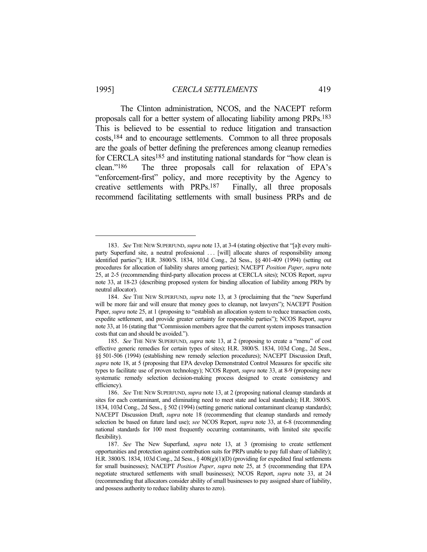The Clinton administration, NCOS, and the NACEPT reform proposals call for a better system of allocating liability among PRPs.183 This is believed to be essential to reduce litigation and transaction costs,184 and to encourage settlements. Common to all three proposals are the goals of better defining the preferences among cleanup remedies for CERCLA sites<sup>185</sup> and instituting national standards for "how clean is clean."186 The three proposals call for relaxation of EPA's "enforcement-first" policy, and more receptivity by the Agency to creative settlements with PRPs.187 Finally, all three proposals recommend facilitating settlements with small business PRPs and de

 <sup>183.</sup> *See* THE NEW SUPERFUND, *supra* note 13, at 3-4 (stating objective that "[a]t every multiparty Superfund site, a neutral professional ... [will] allocate shares of responsibility among identified parties"); H.R. 3800/S. 1834, 103d Cong., 2d Sess., §§ 401-409 (1994) (setting out procedures for allocation of liability shares among parties); NACEPT *Position Paper*, *supra* note 25, at 2-5 (recommending third-party allocation process at CERCLA sites); NCOS Report, *supra* note 33, at 18-23 (describing proposed system for binding allocation of liability among PRPs by neutral allocator).

 <sup>184.</sup> *See* THE NEW SUPERFUND, *supra* note 13, at 3 (proclaiming that the "new Superfund will be more fair and will ensure that money goes to cleanup, not lawyers"); NACEPT Position Paper, *supra* note 25, at 1 (proposing to "establish an allocation system to reduce transaction costs, expedite settlement, and provide greater certainty for responsible parties"); NCOS Report, *supra* note 33, at 16 (stating that "Commission members agree that the current system imposes transaction costs that can and should be avoided.").

 <sup>185.</sup> *See* THE NEW SUPERFUND, *supra* note 13, at 2 (proposing to create a "menu" of cost effective generic remedies for certain types of sites); H.R. 3800/S. 1834, 103d Cong., 2d Sess., §§ 501-506 (1994) (establishing new remedy selection procedures); NACEPT Discussion Draft, *supra* note 18, at 5 (proposing that EPA develop Demonstrated Control Measures for specific site types to facilitate use of proven technology); NCOS Report, *supra* note 33, at 8-9 (proposing new systematic remedy selection decision-making process designed to create consistency and efficiency).

 <sup>186.</sup> *See* THE NEW SUPERFUND, *supra* note 13, at 2 (proposing national cleanup standards at sites for each contaminant, and eliminating need to meet state and local standards); H.R. 3800/S. 1834, 103d Cong., 2d Sess., § 502 (1994) (setting generic national contaminant cleanup standards); NACEPT Discussion Draft, *supra* note 18 (recommending that cleanup standards and remedy selection be based on future land use); *see* NCOS Report, *supra* note 33, at 6-8 (recommending national standards for 100 most frequently occurring contaminants, with limited site specific flexibility).

 <sup>187.</sup> *See* The New Superfund, *supra* note 13, at 3 (promising to create settlement opportunities and protection against contribution suits for PRPs unable to pay full share of liability); H.R. 3800/S. 1834, 103d Cong., 2d Sess., § 408(g)(1)(D) (providing for expedited final settlements for small businesses); NACEPT *Position Paper*, *supra* note 25, at 5 (recommending that EPA negotiate structured settlements with small businesses); NCOS Report, *supra* note 33, at 24 (recommending that allocators consider ability of small businesses to pay assigned share of liability, and possess authority to reduce liability shares to zero).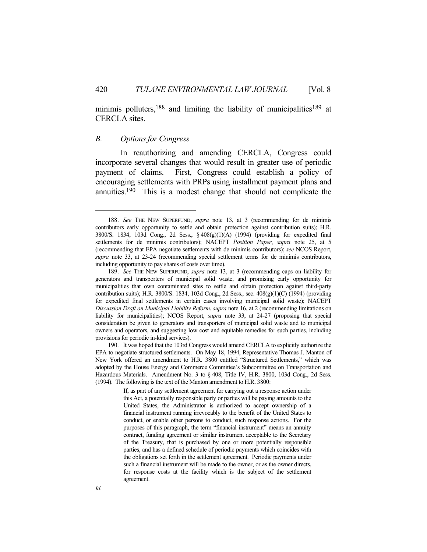minimis polluters,  $188$  and limiting the liability of municipalities  $189$  at CERCLA sites.

# *B. Options for Congress*

 In reauthorizing and amending CERCLA, Congress could incorporate several changes that would result in greater use of periodic payment of claims. First, Congress could establish a policy of encouraging settlements with PRPs using installment payment plans and annuities.190 This is a modest change that should not complicate the

 <sup>188.</sup> *See* THE NEW SUPERFUND, *supra* note 13, at 3 (recommending for de minimis contributors early opportunity to settle and obtain protection against contribution suits); H.R. 3800/S. 1834, 103d Cong., 2d Sess.,  $\S 408(g)(1)(A)$  (1994) (providing for expedited final settlements for de minimis contributors); NACEPT *Position Paper*, *supra* note 25, at 5 (recommending that EPA negotiate settlements with de minimis contributors); *see* NCOS Report, *supra* note 33, at 23-24 (recommending special settlement terms for de minimis contributors, including opportunity to pay shares of costs over time).

 <sup>189.</sup> *See* THE NEW SUPERFUND, *supra* note 13, at 3 (recommending caps on liability for generators and transporters of municipal solid waste, and promising early opportunity for municipalities that own contaminated sites to settle and obtain protection against third-party contribution suits); H.R. 3800/S. 1834, 103d Cong., 2d Sess., sec. 408(g)(1)(C) (1994) (providing for expedited final settlements in certain cases involving municipal solid waste); NACEPT *Discussion Draft on Municipal Liability Reform*, *supra* note 16, at 2 (recommending limitations on liability for municipalities); NCOS Report, *supra* note 33, at 24-27 (proposing that special consideration be given to generators and transporters of municipal solid waste and to municipal owners and operators, and suggesting low cost and equitable remedies for such parties, including provisions for periodic in-kind services).

 <sup>190.</sup> It was hoped that the 103rd Congress would amend CERCLA to explicitly authorize the EPA to negotiate structured settlements. On May 18, 1994, Representative Thomas J. Manton of New York offered an amendment to H.R. 3800 entitled "Structured Settlements," which was adopted by the House Energy and Commerce Committee's Subcommittee on Transportation and Hazardous Materials. Amendment No. 3 to § 408, Title IV, H.R. 3800, 103d Cong., 2d Sess. (1994). The following is the text of the Manton amendment to H.R. 3800:

If, as part of any settlement agreement for carrying out a response action under this Act, a potentially responsible party or parties will be paying amounts to the United States, the Administrator is authorized to accept ownership of a financial instrument running irrevocably to the benefit of the United States to conduct, or enable other persons to conduct, such response actions. For the purposes of this paragraph, the term "financial instrument" means an annuity contract, funding agreement or similar instrument acceptable to the Secretary of the Treasury, that is purchased by one or more potentially responsible parties, and has a defined schedule of periodic payments which coincides with the obligations set forth in the settlement agreement. Periodic payments under such a financial instrument will be made to the owner, or as the owner directs, for response costs at the facility which is the subject of the settlement agreement.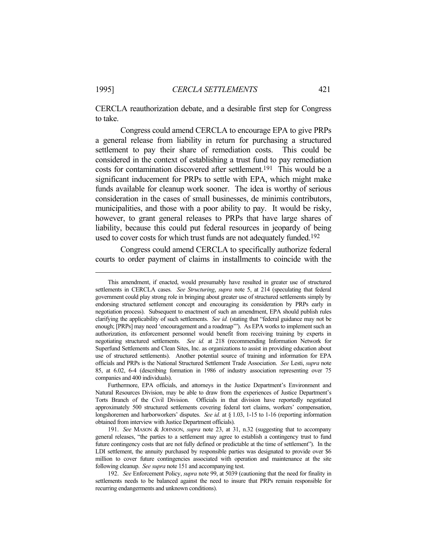CERCLA reauthorization debate, and a desirable first step for Congress to take.

 Congress could amend CERCLA to encourage EPA to give PRPs a general release from liability in return for purchasing a structured settlement to pay their share of remediation costs. This could be considered in the context of establishing a trust fund to pay remediation costs for contamination discovered after settlement.191 This would be a significant inducement for PRPs to settle with EPA, which might make funds available for cleanup work sooner. The idea is worthy of serious consideration in the cases of small businesses, de minimis contributors, municipalities, and those with a poor ability to pay. It would be risky, however, to grant general releases to PRPs that have large shares of liability, because this could put federal resources in jeopardy of being used to cover costs for which trust funds are not adequately funded.<sup>192</sup>

 Congress could amend CERCLA to specifically authorize federal courts to order payment of claims in installments to coincide with the

This amendment, if enacted, would presumably have resulted in greater use of structured settlements in CERCLA cases. *See Structuring*, *supra* note 5, at 214 (speculating that federal government could play strong role in bringing about greater use of structured settlements simply by endorsing structured settlement concept and encouraging its consideration by PRPs early in negotiation process). Subsequent to enactment of such an amendment, EPA should publish rules clarifying the applicability of such settlements. *See id.* (stating that "federal guidance may not be enough; [PRPs] may need 'encouragement and a roadmap'"). As EPA works to implement such an authorization, its enforcement personnel would benefit from receiving training by experts in negotiating structured settlements. *See id.* at 218 (recommending Information Network for Superfund Settlements and Clean Sites, Inc. as organizations to assist in providing education about use of structured settlements). Another potential source of training and information for EPA officials and PRPs is the National Structured Settlement Trade Association. *See* Lesti, *supra* note 85, at 6.02, 6-4 (describing formation in 1986 of industry association representing over 75 companies and 400 individuals).

Furthermore, EPA officials, and attorneys in the Justice Department's Environment and Natural Resources Division, may be able to draw from the experiences of Justice Department's Torts Branch of the Civil Division. Officials in that division have reportedly negotiated approximately 500 structured settlements covering federal tort claims, workers' compensation, longshoremen and harborworkers' disputes. *See id.* at § 1.03, 1-15 to 1-16 (reporting information obtained from interview with Justice Department officials).

 <sup>191.</sup> *See* MASON & JOHNSON, *supra* note 23, at 31, n.32 (suggesting that to accompany general releases, "the parties to a settlement may agree to establish a contingency trust to fund future contingency costs that are not fully defined or predictable at the time of settlement"). In the LDI settlement, the annuity purchased by responsible parties was designated to provide over \$6 million to cover future contingencies associated with operation and maintenance at the site following cleanup. *See supra* note 151 and accompanying test.

 <sup>192.</sup> *See* Enforcement Policy, *supra* note 99, at 5039 (cautioning that the need for finality in settlements needs to be balanced against the need to insure that PRPs remain responsible for recurring endangerments and unknown conditions).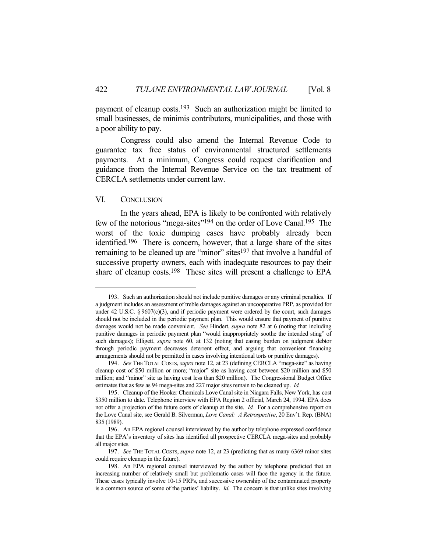payment of cleanup costs.193 Such an authorization might be limited to small businesses, de minimis contributors, municipalities, and those with a poor ability to pay.

 Congress could also amend the Internal Revenue Code to guarantee tax free status of environmental structured settlements payments. At a minimum, Congress could request clarification and guidance from the Internal Revenue Service on the tax treatment of CERCLA settlements under current law.

## VI. CONCLUSION

 In the years ahead, EPA is likely to be confronted with relatively few of the notorious "mega-sites"194 on the order of Love Canal.195 The worst of the toxic dumping cases have probably already been identified.196 There is concern, however, that a large share of the sites remaining to be cleaned up are "minor" sites $197$  that involve a handful of successive property owners, each with inadequate resources to pay their share of cleanup costs.198 These sites will present a challenge to EPA

 <sup>193.</sup> Such an authorization should not include punitive damages or any criminal penalties. If a judgment includes an assessment of treble damages against an uncooperative PRP, as provided for under 42 U.S.C. § 9607(c)(3), and if periodic payment were ordered by the court, such damages should not be included in the periodic payment plan. This would ensure that payment of punitive damages would not be made convenient. *See* Hindert, *supra* note 82 at 6 (noting that including punitive damages in periodic payment plan "would inappropriately soothe the intended sting" of such damages); Elligett, *supra* note 60, at 132 (noting that easing burden on judgment debtor through periodic payment decreases deterrent effect, and arguing that convenient financing arrangements should not be permitted in cases involving intentional torts or punitive damages).

 <sup>194.</sup> *See* THE TOTAL COSTS, *supra* note 12, at 23 (defining CERCLA "mega-site" as having cleanup cost of \$50 million or more; "major" site as having cost between \$20 million and \$50 million; and "minor" site as having cost less than \$20 million). The Congressional Budget Office estimates that as few as 94 mega-sites and 227 major sites remain to be cleaned up. *Id.*

 <sup>195.</sup> Cleanup of the Hooker Chemicals Love Canal site in Niagara Falls, New York, has cost \$350 million to date. Telephone interview with EPA Region 2 official, March 24, 1994. EPA does not offer a projection of the future costs of cleanup at the site. *Id.* For a comprehensive report on the Love Canal site, see Gerald B. Silverman, *Love Canal: A Retrospective*, 20 Env't. Rep. (BNA) 835 (1989).

 <sup>196.</sup> An EPA regional counsel interviewed by the author by telephone expressed confidence that the EPA's inventory of sites has identified all prospective CERCLA mega-sites and probably all major sites.

 <sup>197.</sup> *See* THE TOTAL COSTS, *supra* note 12, at 23 (predicting that as many 6369 minor sites could require cleanup in the future).

 <sup>198.</sup> An EPA regional counsel interviewed by the author by telephone predicted that an increasing number of relatively small but problematic cases will face the agency in the future. These cases typically involve 10-15 PRPs, and successive ownership of the contaminated property is a common source of some of the parties' liability. *Id.* The concern is that unlike sites involving